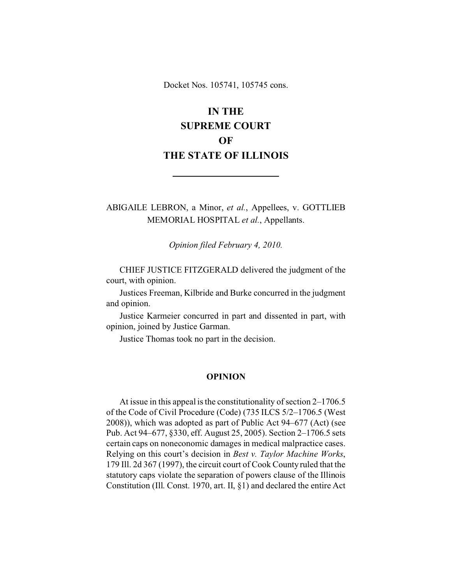Docket Nos. 105741, 105745 cons.

# **IN THE SUPREME COURT OF THE STATE OF ILLINOIS**

ABIGAILE LEBRON, a Minor, *et al.*, Appellees, v. GOTTLIEB MEMORIAL HOSPITAL *et al.*, Appellants.

*Opinion filed February 4, 2010.*

CHIEF JUSTICE FITZGERALD delivered the judgment of the court, with opinion.

Justices Freeman, Kilbride and Burke concurred in the judgment and opinion.

Justice Karmeier concurred in part and dissented in part, with opinion, joined by Justice Garman.

Justice Thomas took no part in the decision.

#### **OPINION**

At issue in this appeal is the constitutionality of section 2–1706.5 of the Code of Civil Procedure (Code) (735 ILCS 5/2–1706.5 (West 2008)), which was adopted as part of Public Act 94–677 (Act) (see Pub. Act 94–677, §330, eff. August 25, 2005). Section 2–1706.5 sets certain caps on noneconomic damages in medical malpractice cases. Relying on this court's decision in *Best v. Taylor Machine Works*, 179 Ill. 2d 367 (1997), the circuit court of Cook County ruled that the statutory caps violate the separation of powers clause of the Illinois Constitution (Ill. Const. 1970, art. II, §1) and declared the entire Act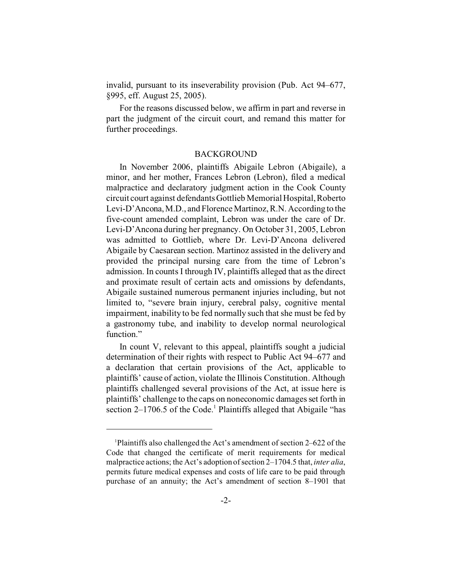invalid, pursuant to its inseverability provision (Pub. Act 94–677, §995, eff. August 25, 2005).

For the reasons discussed below, we affirm in part and reverse in part the judgment of the circuit court, and remand this matter for further proceedings.

## BACKGROUND

In November 2006, plaintiffs Abigaile Lebron (Abigaile), a minor, and her mother, Frances Lebron (Lebron), filed a medical malpractice and declaratory judgment action in the Cook County circuit court against defendants Gottlieb Memorial Hospital, Roberto Levi-D'Ancona, M.D., and Florence Martinoz, R.N. According to the five-count amended complaint, Lebron was under the care of Dr. Levi-D'Ancona during her pregnancy. On October 31, 2005, Lebron was admitted to Gottlieb, where Dr. Levi-D'Ancona delivered Abigaile by Caesarean section. Martinoz assisted in the delivery and provided the principal nursing care from the time of Lebron's admission. In counts I through IV, plaintiffs alleged that as the direct and proximate result of certain acts and omissions by defendants, Abigaile sustained numerous permanent injuries including, but not limited to, "severe brain injury, cerebral palsy, cognitive mental impairment, inability to be fed normally such that she must be fed by a gastronomy tube, and inability to develop normal neurological function."

In count V, relevant to this appeal, plaintiffs sought a judicial determination of their rights with respect to Public Act 94–677 and a declaration that certain provisions of the Act, applicable to plaintiffs' cause of action, violate the Illinois Constitution. Although plaintiffs challenged several provisions of the Act, at issue here is plaintiffs' challenge to the caps on noneconomic damages set forth in section 2-1706.5 of the Code.<sup>1</sup> Plaintiffs alleged that Abigaile "has

<sup>1</sup>Plaintiffs also challenged the Act's amendment of section 2–622 of the Code that changed the certificate of merit requirements for medical malpractice actions; the Act's adoption of section 2–1704.5 that, *inter alia*, permits future medical expenses and costs of life care to be paid through purchase of an annuity; the Act's amendment of section 8–1901 that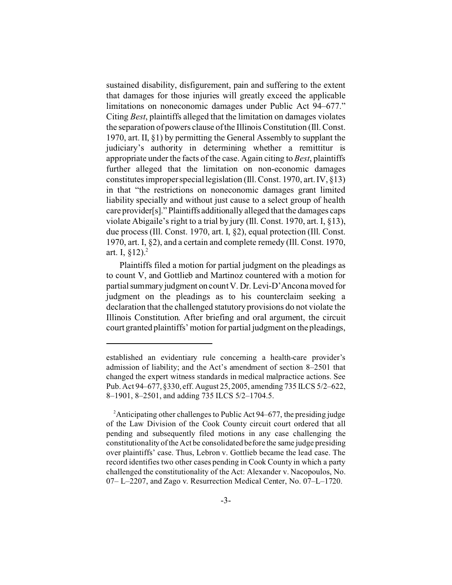sustained disability, disfigurement, pain and suffering to the extent that damages for those injuries will greatly exceed the applicable limitations on noneconomic damages under Public Act 94–677." Citing *Best*, plaintiffs alleged that the limitation on damages violates the separation of powers clause of the Illinois Constitution (Ill. Const. 1970, art. II, §1) by permitting the General Assembly to supplant the judiciary's authority in determining whether a remittitur is appropriate under the facts of the case. Again citing to *Best*, plaintiffs further alleged that the limitation on non-economic damages constitutes improper special legislation (Ill. Const. 1970, art. IV, §13) in that "the restrictions on noneconomic damages grant limited liability specially and without just cause to a select group of health care provider[s]." Plaintiffs additionally alleged that the damages caps violate Abigaile's right to a trial by jury (Ill. Const. 1970, art. I, §13), due process (Ill. Const. 1970, art. I, §2), equal protection (Ill. Const. 1970, art. I, §2), and a certain and complete remedy (Ill. Const. 1970, art. I,  $$12$ ).<sup>2</sup>

Plaintiffs filed a motion for partial judgment on the pleadings as to count V, and Gottlieb and Martinoz countered with a motion for partial summary judgment on count V. Dr. Levi-D'Ancona moved for judgment on the pleadings as to his counterclaim seeking a declaration that the challenged statutory provisions do not violate the Illinois Constitution. After briefing and oral argument, the circuit court granted plaintiffs' motion for partial judgment on the pleadings,

established an evidentiary rule concerning a health-care provider's admission of liability; and the Act's amendment of section 8–2501 that changed the expert witness standards in medical malpractice actions. See Pub. Act 94–677, §330, eff. August 25, 2005, amending 735 ILCS 5/2–622, 8–1901, 8–2501, and adding 735 ILCS 5/2–1704.5.

<sup>&</sup>lt;sup>2</sup> Anticipating other challenges to Public Act 94–677, the presiding judge of the Law Division of the Cook County circuit court ordered that all pending and subsequently filed motions in any case challenging the constitutionality of the Act be consolidated before the same judge presiding over plaintiffs' case. Thus, Lebron v. Gottlieb became the lead case. The record identifies two other cases pending in Cook County in which a party challenged the constitutionality of the Act: Alexander v. Nacopoulos, No. 07– L–2207, and Zago v. Resurrection Medical Center, No. 07–L–1720.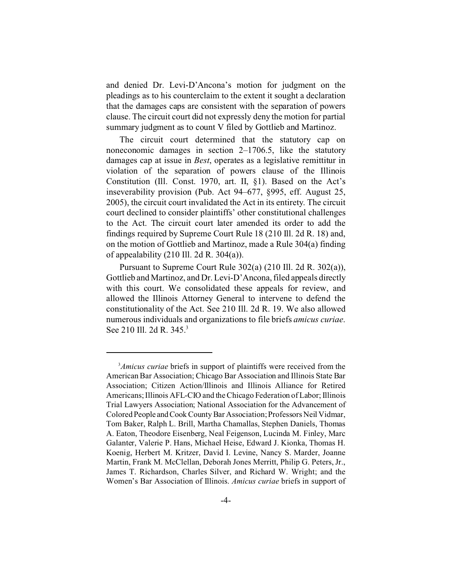and denied Dr. Levi-D'Ancona's motion for judgment on the pleadings as to his counterclaim to the extent it sought a declaration that the damages caps are consistent with the separation of powers clause. The circuit court did not expressly deny the motion for partial summary judgment as to count V filed by Gottlieb and Martinoz.

The circuit court determined that the statutory cap on noneconomic damages in section 2–1706.5, like the statutory damages cap at issue in *Best*, operates as a legislative remittitur in violation of the separation of powers clause of the Illinois Constitution (Ill. Const. 1970, art. II, §1). Based on the Act's inseverability provision (Pub. Act 94–677, §995, eff. August 25, 2005), the circuit court invalidated the Act in its entirety. The circuit court declined to consider plaintiffs' other constitutional challenges to the Act. The circuit court later amended its order to add the findings required by Supreme Court Rule 18 (210 Ill. 2d R. 18) and, on the motion of Gottlieb and Martinoz, made a Rule 304(a) finding of appealability  $(210 \text{ III. } 2d \text{ R. } 304(a))$ .

Pursuant to Supreme Court Rule 302(a) (210 Ill. 2d R. 302(a)), Gottlieb and Martinoz, and Dr. Levi-D'Ancona, filed appeals directly with this court. We consolidated these appeals for review, and allowed the Illinois Attorney General to intervene to defend the constitutionality of the Act. See 210 Ill. 2d R. 19. We also allowed numerous individuals and organizations to file briefs *amicus curiae*. See 210 Ill. 2d R. 345.<sup>3</sup>

<sup>3</sup>*Amicus curiae* briefs in support of plaintiffs were received from the American Bar Association; Chicago Bar Association and Illinois State Bar Association; Citizen Action/Illinois and Illinois Alliance for Retired Americans; Illinois AFL-CIO and the Chicago Federation of Labor; Illinois Trial Lawyers Association; National Association for the Advancement of Colored People andCook County Bar Association; Professors Neil Vidmar, Tom Baker, Ralph L. Brill, Martha Chamallas, Stephen Daniels, Thomas A. Eaton, Theodore Eisenberg, Neal Feigenson, Lucinda M. Finley, Marc Galanter, Valerie P. Hans, Michael Heise, Edward J. Kionka, Thomas H. Koenig, Herbert M. Kritzer, David I. Levine, Nancy S. Marder, Joanne Martin, Frank M. McClellan, Deborah Jones Merritt, Philip G. Peters, Jr., James T. Richardson, Charles Silver, and Richard W. Wright; and the Women's Bar Association of Illinois. *Amicus curiae* briefs in support of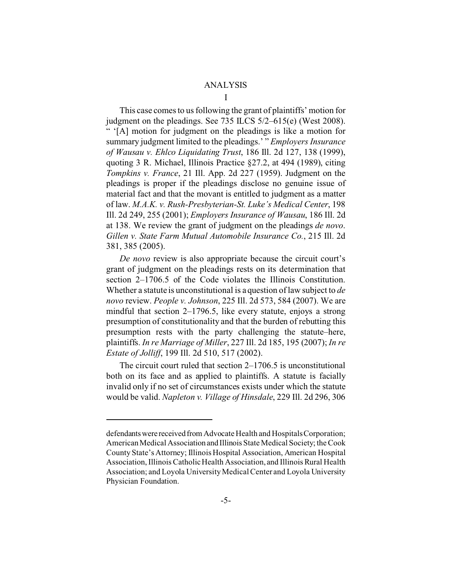## ANALYSIS

I

This case comes to us following the grant of plaintiffs' motion for judgment on the pleadings. See 735 ILCS 5/2–615(e) (West 2008). " '[A] motion for judgment on the pleadings is like a motion for summary judgment limited to the pleadings.' " *Employers Insurance of Wausau v. Ehlco Liquidating Trust*, 186 Ill. 2d 127, 138 (1999), quoting 3 R. Michael, Illinois Practice §27.2, at 494 (1989), citing *Tompkins v. France*, 21 Ill. App. 2d 227 (1959). Judgment on the pleadings is proper if the pleadings disclose no genuine issue of material fact and that the movant is entitled to judgment as a matter of law. *M.A.K. v. Rush-Presbyterian-St. Luke's Medical Center*, 198 Ill. 2d 249, 255 (2001); *Employers Insurance of Wausau*, 186 Ill. 2d at 138. We review the grant of judgment on the pleadings *de novo*. *Gillen v. State Farm Mutual Automobile Insurance Co.*, 215 Ill. 2d 381, 385 (2005).

*De novo* review is also appropriate because the circuit court's grant of judgment on the pleadings rests on its determination that section 2–1706.5 of the Code violates the Illinois Constitution. Whether a statute is unconstitutional is a question of law subject to *de novo* review. *People v. Johnson*, 225 Ill. 2d 573, 584 (2007). We are mindful that section 2–1796.5, like every statute, enjoys a strong presumption of constitutionality and that the burden of rebutting this presumption rests with the party challenging the statute–here, plaintiffs. *In re Marriage of Miller*, 227 Ill. 2d 185, 195 (2007); *In re Estate of Jolliff*, 199 Ill. 2d 510, 517 (2002).

The circuit court ruled that section 2–1706.5 is unconstitutional both on its face and as applied to plaintiffs. A statute is facially invalid only if no set of circumstances exists under which the statute would be valid. *Napleton v. Village of Hinsdale*, 229 Ill. 2d 296, 306

defendants were received from Advocate Health and Hospitals Corporation; American Medical Association and Illinois State Medical Society; the Cook County State's Attorney; Illinois Hospital Association, American Hospital Association, Illinois Catholic Health Association, and Illinois Rural Health Association; and Loyola University Medical Center and Loyola University Physician Foundation.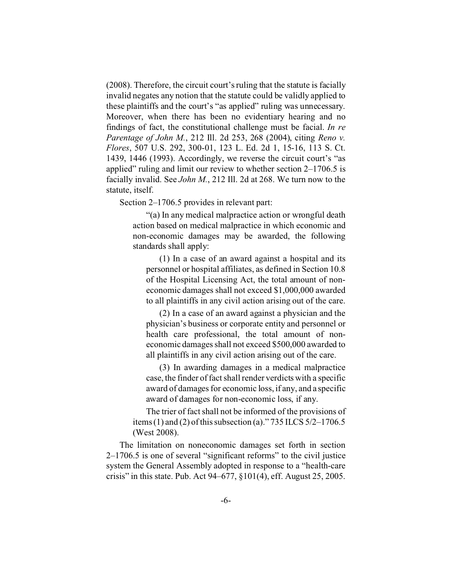(2008). Therefore, the circuit court's ruling that the statute is facially invalid negates any notion that the statute could be validly applied to these plaintiffs and the court's "as applied" ruling was unnecessary. Moreover, when there has been no evidentiary hearing and no findings of fact, the constitutional challenge must be facial. *In re Parentage of John M.*, 212 Ill. 2d 253, 268 (2004), citing *Reno v. Flores*, 507 U.S. 292, 300-01, 123 L. Ed. 2d 1, 15-16, 113 S. Ct. 1439, 1446 (1993). Accordingly, we reverse the circuit court's "as applied" ruling and limit our review to whether section  $2-1706.5$  is facially invalid. See *John M.*, 212 Ill. 2d at 268. We turn now to the statute, itself.

Section 2–1706.5 provides in relevant part:

"(a) In any medical malpractice action or wrongful death action based on medical malpractice in which economic and non-economic damages may be awarded, the following standards shall apply:

(1) In a case of an award against a hospital and its personnel or hospital affiliates, as defined in Section 10.8 of the Hospital Licensing Act, the total amount of noneconomic damages shall not exceed \$1,000,000 awarded to all plaintiffs in any civil action arising out of the care.

(2) In a case of an award against a physician and the physician's business or corporate entity and personnel or health care professional, the total amount of noneconomic damages shall not exceed \$500,000 awarded to all plaintiffs in any civil action arising out of the care.

(3) In awarding damages in a medical malpractice case, the finder of fact shall render verdicts with a specific award of damages for economic loss, if any, and a specific award of damages for non-economic loss, if any.

The trier of fact shall not be informed of the provisions of items (1) and (2) of this subsection (a)." 735 ILCS 5/2–1706.5 (West 2008).

The limitation on noneconomic damages set forth in section 2–1706.5 is one of several "significant reforms" to the civil justice system the General Assembly adopted in response to a "health-care crisis" in this state. Pub. Act 94–677, §101(4), eff. August 25, 2005.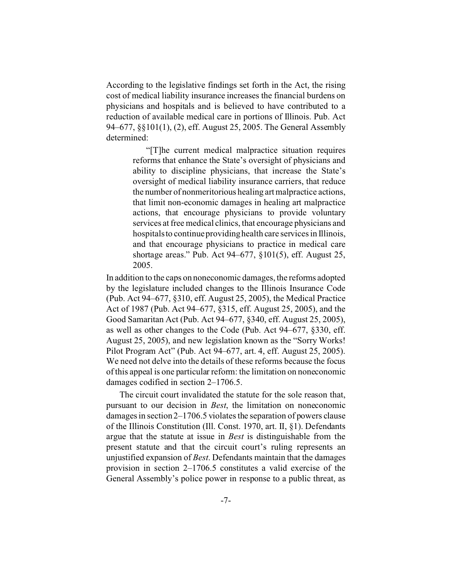According to the legislative findings set forth in the Act, the rising cost of medical liability insurance increases the financial burdens on physicians and hospitals and is believed to have contributed to a reduction of available medical care in portions of Illinois. Pub. Act 94–677, §§101(1), (2), eff. August 25, 2005. The General Assembly determined:

> "[T]he current medical malpractice situation requires reforms that enhance the State's oversight of physicians and ability to discipline physicians, that increase the State's oversight of medical liability insurance carriers, that reduce the number of nonmeritorious healing art malpractice actions, that limit non-economic damages in healing art malpractice actions, that encourage physicians to provide voluntary services at free medical clinics, that encourage physicians and hospitals to continue providing health care services in Illinois, and that encourage physicians to practice in medical care shortage areas." Pub. Act 94–677, §101(5), eff. August 25, 2005.

In addition to the caps on noneconomic damages, the reforms adopted by the legislature included changes to the Illinois Insurance Code (Pub. Act 94–677, §310, eff. August 25, 2005), the Medical Practice Act of 1987 (Pub. Act 94–677, §315, eff. August 25, 2005), and the Good Samaritan Act (Pub. Act 94–677, §340, eff. August 25, 2005), as well as other changes to the Code (Pub. Act 94–677, §330, eff. August 25, 2005), and new legislation known as the "Sorry Works! Pilot Program Act" (Pub. Act 94–677, art. 4, eff. August 25, 2005). We need not delve into the details of these reforms because the focus of this appeal is one particular reform: the limitation on noneconomic damages codified in section 2–1706.5.

The circuit court invalidated the statute for the sole reason that, pursuant to our decision in *Best*, the limitation on noneconomic damages in section 2–1706.5 violates the separation of powers clause of the Illinois Constitution (Ill. Const. 1970, art. II, §1). Defendants argue that the statute at issue in *Best* is distinguishable from the present statute and that the circuit court's ruling represents an unjustified expansion of *Best*. Defendants maintain that the damages provision in section 2–1706.5 constitutes a valid exercise of the General Assembly's police power in response to a public threat, as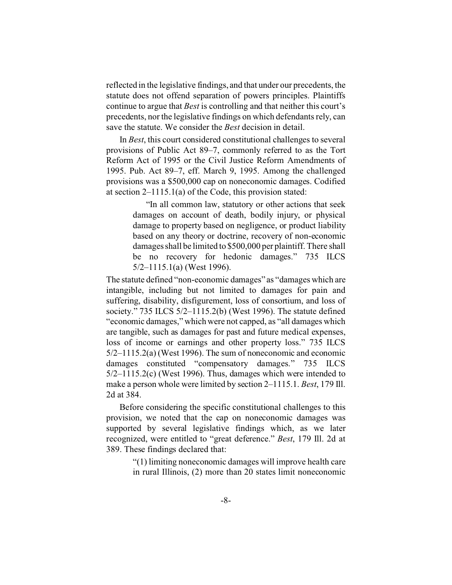reflected in the legislative findings, and that under our precedents, the statute does not offend separation of powers principles. Plaintiffs continue to argue that *Best* is controlling and that neither this court's precedents, nor the legislative findings on which defendants rely, can save the statute. We consider the *Best* decision in detail.

In *Best*, this court considered constitutional challenges to several provisions of Public Act 89–7, commonly referred to as the Tort Reform Act of 1995 or the Civil Justice Reform Amendments of 1995. Pub. Act 89–7, eff. March 9, 1995. Among the challenged provisions was a \$500,000 cap on noneconomic damages. Codified at section 2–1115.1(a) of the Code, this provision stated:

> "In all common law, statutory or other actions that seek damages on account of death, bodily injury, or physical damage to property based on negligence, or product liability based on any theory or doctrine, recovery of non-economic damages shall be limited to \$500,000 per plaintiff. There shall be no recovery for hedonic damages." 735 ILCS 5/2–1115.1(a) (West 1996).

The statute defined "non-economic damages" as "damages which are intangible, including but not limited to damages for pain and suffering, disability, disfigurement, loss of consortium, and loss of society." 735 ILCS 5/2–1115.2(b) (West 1996). The statute defined "economic damages," which were not capped, as "all damages which are tangible, such as damages for past and future medical expenses, loss of income or earnings and other property loss." 735 ILCS 5/2–1115.2(a) (West 1996). The sum of noneconomic and economic damages constituted "compensatory damages." 735 ILCS 5/2–1115.2(c) (West 1996). Thus, damages which were intended to make a person whole were limited by section 2–1115.1. *Best*, 179 Ill. 2d at 384.

Before considering the specific constitutional challenges to this provision, we noted that the cap on noneconomic damages was supported by several legislative findings which, as we later recognized, were entitled to "great deference." *Best*, 179 Ill. 2d at 389. These findings declared that:

> "(1) limiting noneconomic damages will improve health care in rural Illinois, (2) more than 20 states limit noneconomic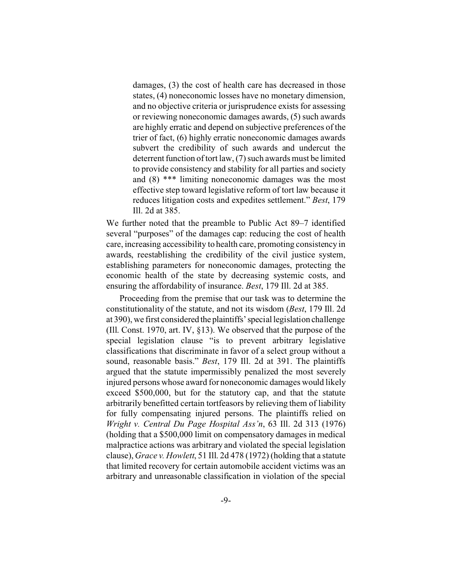damages, (3) the cost of health care has decreased in those states, (4) noneconomic losses have no monetary dimension, and no objective criteria or jurisprudence exists for assessing or reviewing noneconomic damages awards, (5) such awards are highly erratic and depend on subjective preferences of the trier of fact, (6) highly erratic noneconomic damages awards subvert the credibility of such awards and undercut the deterrent function of tort law, (7) such awards must be limited to provide consistency and stability for all parties and society and (8) \*\*\* limiting noneconomic damages was the most effective step toward legislative reform of tort law because it reduces litigation costs and expedites settlement." *Best*, 179 Ill. 2d at 385.

We further noted that the preamble to Public Act 89–7 identified several "purposes" of the damages cap: reducing the cost of health care, increasing accessibility to health care, promoting consistency in awards, reestablishing the credibility of the civil justice system, establishing parameters for noneconomic damages, protecting the economic health of the state by decreasing systemic costs, and ensuring the affordability of insurance. *Best*, 179 Ill. 2d at 385.

Proceeding from the premise that our task was to determine the constitutionality of the statute, and not its wisdom (*Best*, 179 Ill. 2d at 390), we first considered the plaintiffs' special legislation challenge (Ill. Const. 1970, art. IV, §13). We observed that the purpose of the special legislation clause "is to prevent arbitrary legislative classifications that discriminate in favor of a select group without a sound, reasonable basis." *Best*, 179 Ill. 2d at 391. The plaintiffs argued that the statute impermissibly penalized the most severely injured persons whose award for noneconomic damages would likely exceed \$500,000, but for the statutory cap, and that the statute arbitrarily benefitted certain tortfeasors by relieving them of liability for fully compensating injured persons. The plaintiffs relied on *Wright v. Central Du Page Hospital Ass'n*, 63 Ill. 2d 313 (1976) (holding that a \$500,000 limit on compensatory damages in medical malpractice actions was arbitrary and violated the special legislation clause), *Grace v. Howlett*, 51 Ill. 2d 478 (1972) (holding that a statute that limited recovery for certain automobile accident victims was an arbitrary and unreasonable classification in violation of the special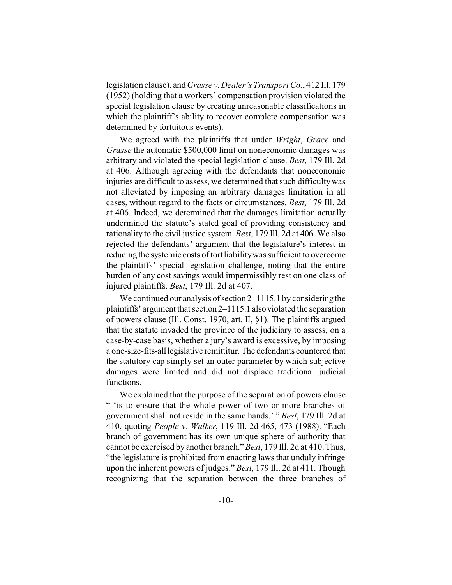legislation clause), and*Grasse v. Dealer's Transport Co.*, 412 Ill. 179 (1952) (holding that a workers' compensation provision violated the special legislation clause by creating unreasonable classifications in which the plaintiff's ability to recover complete compensation was determined by fortuitous events).

We agreed with the plaintiffs that under *Wright*, *Grace* and *Grasse* the automatic \$500,000 limit on noneconomic damages was arbitrary and violated the special legislation clause. *Best*, 179 Ill. 2d at 406. Although agreeing with the defendants that noneconomic injuries are difficult to assess, we determined that such difficulty was not alleviated by imposing an arbitrary damages limitation in all cases, without regard to the facts or circumstances. *Best*, 179 Ill. 2d at 406. Indeed, we determined that the damages limitation actually undermined the statute's stated goal of providing consistency and rationality to the civil justice system. *Best*, 179 Ill. 2d at 406. We also rejected the defendants' argument that the legislature's interest in reducing the systemic costs of tort liability was sufficient to overcome the plaintiffs' special legislation challenge, noting that the entire burden of any cost savings would impermissibly rest on one class of injured plaintiffs. *Best*, 179 Ill. 2d at 407.

We continued our analysis of section 2–1115.1 by considering the plaintiffs' argument that section 2–1115.1 alsoviolated the separation of powers clause (Ill. Const. 1970, art. II, §1). The plaintiffs argued that the statute invaded the province of the judiciary to assess, on a case-by-case basis, whether a jury's award is excessive, by imposing a one-size-fits-alllegislative remittitur. The defendants countered that the statutory cap simply set an outer parameter by which subjective damages were limited and did not displace traditional judicial functions.

We explained that the purpose of the separation of powers clause " 'is to ensure that the whole power of two or more branches of government shall not reside in the same hands.' " *Best*, 179 Ill. 2d at 410, quoting *People v. Walker*, 119 Ill. 2d 465, 473 (1988). "Each branch of government has its own unique sphere of authority that cannot be exercised by another branch." *Best*, 179 Ill. 2d at 410. Thus, "the legislature is prohibited from enacting laws that unduly infringe upon the inherent powers of judges." *Best*, 179 Ill. 2d at 411. Though recognizing that the separation between the three branches of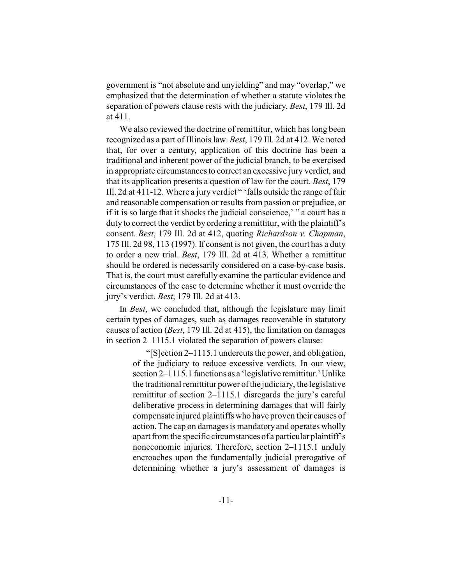government is "not absolute and unyielding" and may "overlap," we emphasized that the determination of whether a statute violates the separation of powers clause rests with the judiciary. *Best*, 179 Ill. 2d at 411.

We also reviewed the doctrine of remittitur, which has long been recognized as a part of Illinois law. *Best*, 179 Ill. 2d at 412. We noted that, for over a century, application of this doctrine has been a traditional and inherent power of the judicial branch, to be exercised in appropriate circumstances to correct an excessive jury verdict, and that its application presents a question of law for the court. *Best*, 179 Ill. 2d at 411-12. Where a jury verdict " 'falls outside the range of fair and reasonable compensation or results from passion or prejudice, or if it is so large that it shocks the judicial conscience,' " a court has a duty to correct the verdict by ordering a remittitur, with the plaintiff's consent. *Best*, 179 Ill. 2d at 412, quoting *Richardson v. Chapman*, 175 Ill. 2d 98, 113 (1997). If consent is not given, the court has a duty to order a new trial. *Best*, 179 Ill. 2d at 413. Whether a remittitur should be ordered is necessarily considered on a case-by-case basis. That is, the court must carefully examine the particular evidence and circumstances of the case to determine whether it must override the jury's verdict. *Best*, 179 Ill. 2d at 413.

In *Best*, we concluded that, although the legislature may limit certain types of damages, such as damages recoverable in statutory causes of action (*Best*, 179 Ill. 2d at 415), the limitation on damages in section 2–1115.1 violated the separation of powers clause:

> "[S]ection 2–1115.1 undercuts the power, and obligation, of the judiciary to reduce excessive verdicts. In our view, section 2–1115.1 functions as a 'legislative remittitur.' Unlike the traditional remittitur power of the judiciary, the legislative remittitur of section 2–1115.1 disregards the jury's careful deliberative process in determining damages that will fairly compensate injured plaintiffs who have proven their causes of action. The cap on damages is mandatory and operates wholly apart from the specific circumstances of a particular plaintiff's noneconomic injuries. Therefore, section 2–1115.1 unduly encroaches upon the fundamentally judicial prerogative of determining whether a jury's assessment of damages is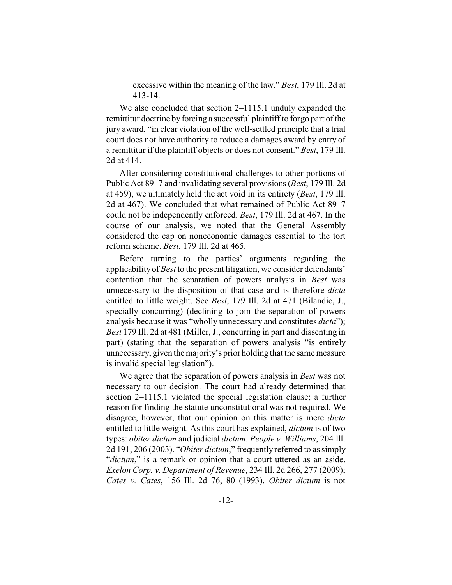excessive within the meaning of the law." *Best*, 179 Ill. 2d at 413-14.

We also concluded that section 2–1115.1 unduly expanded the remittitur doctrine by forcing a successful plaintiff to forgo part of the jury award, "in clear violation of the well-settled principle that a trial court does not have authority to reduce a damages award by entry of a remittitur if the plaintiff objects or does not consent." *Best*, 179 Ill. 2d at 414.

After considering constitutional challenges to other portions of Public Act 89–7 and invalidating several provisions (*Best*, 179 Ill. 2d at 459), we ultimately held the act void in its entirety (*Best*, 179 Ill. 2d at 467). We concluded that what remained of Public Act 89–7 could not be independently enforced. *Best*, 179 Ill. 2d at 467. In the course of our analysis, we noted that the General Assembly considered the cap on noneconomic damages essential to the tort reform scheme. *Best*, 179 Ill. 2d at 465.

Before turning to the parties' arguments regarding the applicability of *Best* to the present litigation, we consider defendants' contention that the separation of powers analysis in *Best* was unnecessary to the disposition of that case and is therefore *dicta* entitled to little weight. See *Best*, 179 Ill. 2d at 471 (Bilandic, J., specially concurring) (declining to join the separation of powers analysis because it was "wholly unnecessary and constitutes *dicta*"); *Best* 179 Ill. 2d at 481 (Miller, J., concurring in part and dissenting in part) (stating that the separation of powers analysis "is entirely unnecessary, given the majority's prior holding that the same measure is invalid special legislation").

We agree that the separation of powers analysis in *Best* was not necessary to our decision. The court had already determined that section 2–1115.1 violated the special legislation clause; a further reason for finding the statute unconstitutional was not required. We disagree, however, that our opinion on this matter is mere *dicta* entitled to little weight. As this court has explained, *dictum* is of two types: *obiter dictum* and judicial *dictum*. *People v. Williams*, 204 Ill. 2d 191, 206 (2003). "*Obiter dictum*," frequently referred to as simply "*dictum*," is a remark or opinion that a court uttered as an aside. *Exelon Corp. v. Department of Revenue*, 234 Ill. 2d 266, 277 (2009); *Cates v. Cates*, 156 Ill. 2d 76, 80 (1993). *Obiter dictum* is not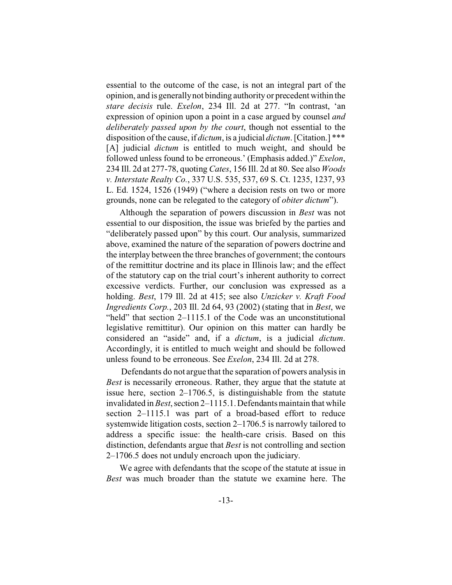essential to the outcome of the case, is not an integral part of the opinion, and is generally not binding authority or precedent within the *stare decisis* rule. *Exelon*, 234 Ill. 2d at 277. "In contrast, 'an expression of opinion upon a point in a case argued by counsel *and deliberately passed upon by the court*, though not essential to the disposition of the cause, if *dictum*, is a judicial *dictum*. [Citation.] \*\*\* [A] judicial *dictum* is entitled to much weight, and should be followed unless found to be erroneous.' (Emphasis added.)" *Exelon*, 234 Ill. 2d at 277-78, quoting *Cates*, 156 Ill. 2d at 80. See also *Woods v. Interstate Realty Co.*, 337 U.S. 535, 537, 69 S. Ct. 1235, 1237, 93 L. Ed. 1524, 1526 (1949) ("where a decision rests on two or more grounds, none can be relegated to the category of *obiter dictum*").

Although the separation of powers discussion in *Best* was not essential to our disposition, the issue was briefed by the parties and "deliberately passed upon" by this court. Our analysis, summarized above, examined the nature of the separation of powers doctrine and the interplay between the three branches of government; the contours of the remittitur doctrine and its place in Illinois law; and the effect of the statutory cap on the trial court's inherent authority to correct excessive verdicts. Further, our conclusion was expressed as a holding. *Best*, 179 Ill. 2d at 415; see also *Unzicker v. Kraft Food Ingredients Corp.*, 203 Ill. 2d 64, 93 (2002) (stating that in *Best*, we "held" that section 2–1115.1 of the Code was an unconstitutional legislative remittitur). Our opinion on this matter can hardly be considered an "aside" and, if a *dictum*, is a judicial *dictum*. Accordingly, it is entitled to much weight and should be followed unless found to be erroneous. See *Exelon*, 234 Ill. 2d at 278.

 Defendants do not argue that the separation of powers analysis in *Best* is necessarily erroneous. Rather, they argue that the statute at issue here, section 2–1706.5, is distinguishable from the statute invalidated in *Best*, section 2–1115.1. Defendants maintain that while section 2–1115.1 was part of a broad-based effort to reduce systemwide litigation costs, section 2–1706.5 is narrowly tailored to address a specific issue: the health-care crisis. Based on this distinction, defendants argue that *Best* is not controlling and section 2–1706.5 does not unduly encroach upon the judiciary.

We agree with defendants that the scope of the statute at issue in *Best* was much broader than the statute we examine here. The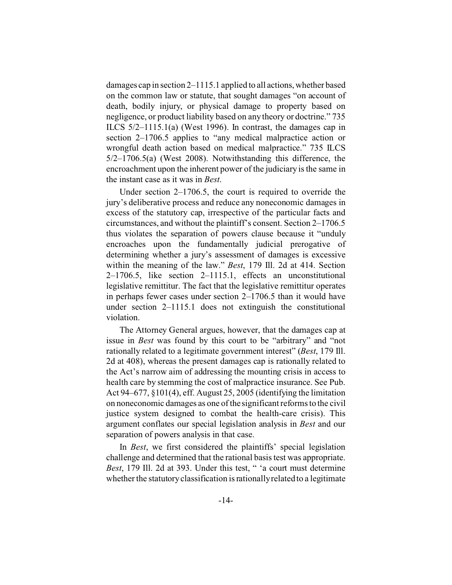damages cap in section 2–1115.1 applied to all actions, whether based on the common law or statute, that sought damages "on account of death, bodily injury, or physical damage to property based on negligence, or product liability based on any theory or doctrine." 735 ILCS 5/2–1115.1(a) (West 1996). In contrast, the damages cap in section 2–1706.5 applies to "any medical malpractice action or wrongful death action based on medical malpractice." 735 ILCS 5/2–1706.5(a) (West 2008). Notwithstanding this difference, the encroachment upon the inherent power of the judiciary is the same in the instant case as it was in *Best*.

Under section 2–1706.5, the court is required to override the jury's deliberative process and reduce any noneconomic damages in excess of the statutory cap, irrespective of the particular facts and circumstances, and without the plaintiff's consent. Section 2–1706.5 thus violates the separation of powers clause because it "unduly encroaches upon the fundamentally judicial prerogative of determining whether a jury's assessment of damages is excessive within the meaning of the law." *Best*, 179 Ill. 2d at 414. Section 2–1706.5, like section 2–1115.1, effects an unconstitutional legislative remittitur. The fact that the legislative remittitur operates in perhaps fewer cases under section 2–1706.5 than it would have under section 2–1115.1 does not extinguish the constitutional violation.

The Attorney General argues, however, that the damages cap at issue in *Best* was found by this court to be "arbitrary" and "not rationally related to a legitimate government interest" (*Best*, 179 Ill. 2d at 408), whereas the present damages cap is rationally related to the Act's narrow aim of addressing the mounting crisis in access to health care by stemming the cost of malpractice insurance. See Pub. Act 94–677, §101(4), eff. August 25, 2005 (identifying the limitation on noneconomic damages as one of the significant reforms to the civil justice system designed to combat the health-care crisis). This argument conflates our special legislation analysis in *Best* and our separation of powers analysis in that case.

In *Best*, we first considered the plaintiffs' special legislation challenge and determined that the rational basis test was appropriate. *Best*, 179 Ill. 2d at 393. Under this test, " 'a court must determine whether the statutory classification is rationally related to a legitimate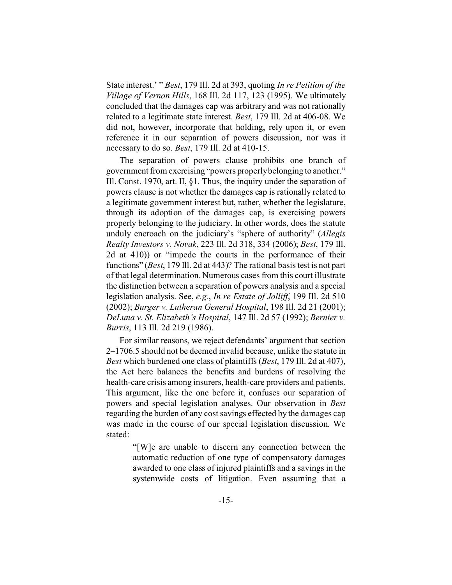State interest.' " *Best*, 179 Ill. 2d at 393, quoting *In re Petition of the Village of Vernon Hills*, 168 Ill. 2d 117, 123 (1995). We ultimately concluded that the damages cap was arbitrary and was not rationally related to a legitimate state interest. *Best*, 179 Ill. 2d at 406-08. We did not, however, incorporate that holding, rely upon it, or even reference it in our separation of powers discussion, nor was it necessary to do so. *Best*, 179 Ill. 2d at 410-15.

The separation of powers clause prohibits one branch of government from exercising "powers properly belonging to another." Ill. Const. 1970, art. II, §1. Thus, the inquiry under the separation of powers clause is not whether the damages cap is rationally related to a legitimate government interest but, rather, whether the legislature, through its adoption of the damages cap, is exercising powers properly belonging to the judiciary. In other words, does the statute unduly encroach on the judiciary's "sphere of authority" (*Allegis Realty Investors v. Novak*, 223 Ill. 2d 318, 334 (2006); *Best*, 179 Ill. 2d at 410)) or "impede the courts in the performance of their functions" (*Best*, 179 Ill. 2d at 443)? The rational basis test is not part of that legal determination. Numerous cases from this court illustrate the distinction between a separation of powers analysis and a special legislation analysis. See, *e.g.*, *In re Estate of Jolliff*, 199 Ill. 2d 510 (2002); *Burger v. Lutheran General Hospital*, 198 Ill. 2d 21 (2001); *DeLuna v. St. Elizabeth's Hospital*, 147 Ill. 2d 57 (1992); *Bernier v. Burris*, 113 Ill. 2d 219 (1986).

For similar reasons, we reject defendants' argument that section 2–1706.5 should not be deemed invalid because, unlike the statute in *Best* which burdened one class of plaintiffs (*Best*, 179 Ill. 2d at 407), the Act here balances the benefits and burdens of resolving the health-care crisis among insurers, health-care providers and patients. This argument, like the one before it, confuses our separation of powers and special legislation analyses. Our observation in *Best* regarding the burden of any cost savings effected by the damages cap was made in the course of our special legislation discussion. We stated:

> "[W]e are unable to discern any connection between the automatic reduction of one type of compensatory damages awarded to one class of injured plaintiffs and a savings in the systemwide costs of litigation. Even assuming that a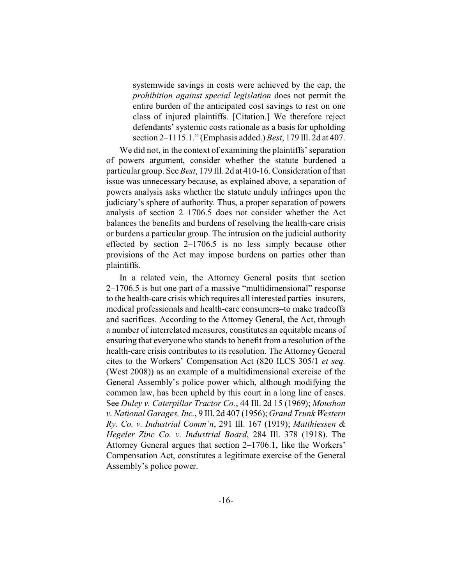systemwide savings in costs were achieved by the cap, the *prohibition against special legislation* does not permit the entire burden of the anticipated cost savings to rest on one class of injured plaintiffs. [Citation.] We therefore reject defendants' systemic costs rationale as a basis for upholding section 2–1115.1." (Emphasis added.) *Best*, 179 Ill. 2d at 407.

We did not, in the context of examining the plaintiffs' separation of powers argument, consider whether the statute burdened a particular group. See *Best*, 179 Ill. 2d at 410-16. Consideration of that issue was unnecessary because, as explained above, a separation of powers analysis asks whether the statute unduly infringes upon the judiciary's sphere of authority. Thus, a proper separation of powers analysis of section 2–1706.5 does not consider whether the Act balances the benefits and burdens of resolving the health-care crisis or burdens a particular group. The intrusion on the judicial authority effected by section 2–1706.5 is no less simply because other provisions of the Act may impose burdens on parties other than plaintiffs.

In a related vein, the Attorney General posits that section 2–1706.5 is but one part of a massive "multidimensional" response to the health-care crisis which requires all interested parties–insurers, medical professionals and health-care consumers–to make tradeoffs and sacrifices. According to the Attorney General, the Act, through a number of interrelated measures, constitutes an equitable means of ensuring that everyone who stands to benefit from a resolution of the health-care crisis contributes to its resolution. The Attorney General cites to the Workers' Compensation Act (820 ILCS 305/1 *et seq.* (West 2008)) as an example of a multidimensional exercise of the General Assembly's police power which, although modifying the common law, has been upheld by this court in a long line of cases. See *Duley v. Caterpillar Tractor Co.*, 44 Ill. 2d 15 (1969); *Moushon v. National Garages, Inc.*, 9 Ill. 2d 407 (1956); *Grand Trunk Western Ry. Co. v. Industrial Comm'n*, 291 Ill. 167 (1919); *Matthiessen & Hegeler Zinc Co. v. Industrial Board*, 284 Ill. 378 (1918). The Attorney General argues that section 2–1706.1, like the Workers' Compensation Act, constitutes a legitimate exercise of the General Assembly's police power.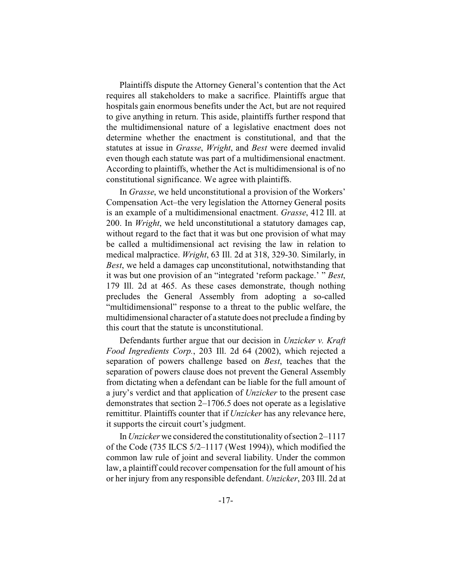Plaintiffs dispute the Attorney General's contention that the Act requires all stakeholders to make a sacrifice. Plaintiffs argue that hospitals gain enormous benefits under the Act, but are not required to give anything in return. This aside, plaintiffs further respond that the multidimensional nature of a legislative enactment does not determine whether the enactment is constitutional, and that the statutes at issue in *Grasse*, *Wright*, and *Best* were deemed invalid even though each statute was part of a multidimensional enactment. According to plaintiffs, whether the Act is multidimensional is of no constitutional significance. We agree with plaintiffs.

In *Grasse*, we held unconstitutional a provision of the Workers' Compensation Act–the very legislation the Attorney General posits is an example of a multidimensional enactment. *Grasse*, 412 Ill. at 200. In *Wright*, we held unconstitutional a statutory damages cap, without regard to the fact that it was but one provision of what may be called a multidimensional act revising the law in relation to medical malpractice. *Wright*, 63 Ill. 2d at 318, 329-30. Similarly, in *Best*, we held a damages cap unconstitutional, notwithstanding that it was but one provision of an "integrated 'reform package.' " *Best*, 179 Ill. 2d at 465. As these cases demonstrate, though nothing precludes the General Assembly from adopting a so-called "multidimensional" response to a threat to the public welfare, the multidimensional character of a statute does not preclude a finding by this court that the statute is unconstitutional.

Defendants further argue that our decision in *Unzicker v. Kraft Food Ingredients Corp.*, 203 Ill. 2d 64 (2002), which rejected a separation of powers challenge based on *Best*, teaches that the separation of powers clause does not prevent the General Assembly from dictating when a defendant can be liable for the full amount of a jury's verdict and that application of *Unzicker* to the present case demonstrates that section 2–1706.5 does not operate as a legislative remittitur. Plaintiffs counter that if *Unzicker* has any relevance here, it supports the circuit court's judgment.

In *Unzicker* we considered the constitutionality of section 2–1117 of the Code (735 ILCS 5/2–1117 (West 1994)), which modified the common law rule of joint and several liability. Under the common law, a plaintiff could recover compensation for the full amount of his or her injury from any responsible defendant. *Unzicker*, 203 Ill. 2d at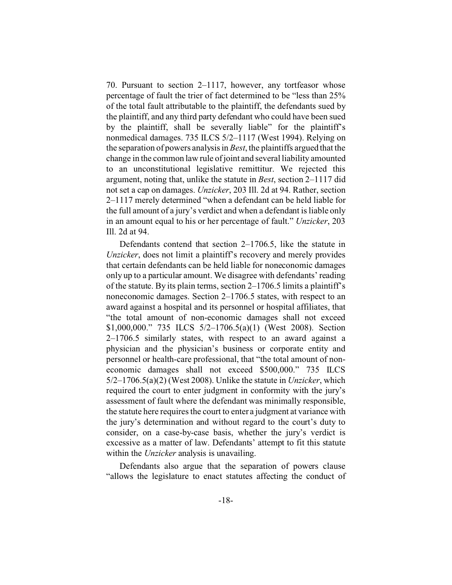70. Pursuant to section 2–1117, however, any tortfeasor whose percentage of fault the trier of fact determined to be "less than 25% of the total fault attributable to the plaintiff, the defendants sued by the plaintiff, and any third party defendant who could have been sued by the plaintiff, shall be severally liable" for the plaintiff's nonmedical damages. 735 ILCS 5/2–1117 (West 1994). Relying on the separation of powers analysis in *Best*, the plaintiffs argued that the change in the common law rule of joint and several liability amounted to an unconstitutional legislative remittitur. We rejected this argument, noting that, unlike the statute in *Best*, section 2–1117 did not set a cap on damages. *Unzicker*, 203 Ill. 2d at 94. Rather, section 2–1117 merely determined "when a defendant can be held liable for the full amount of a jury's verdict and when a defendant is liable only in an amount equal to his or her percentage of fault." *Unzicker*, 203 Ill. 2d at 94.

Defendants contend that section 2–1706.5, like the statute in *Unzicker*, does not limit a plaintiff's recovery and merely provides that certain defendants can be held liable for noneconomic damages only up to a particular amount. We disagree with defendants' reading of the statute. By its plain terms, section 2–1706.5 limits a plaintiff's noneconomic damages. Section 2–1706.5 states, with respect to an award against a hospital and its personnel or hospital affiliates, that "the total amount of non-economic damages shall not exceed \$1,000,000." 735 ILCS 5/2–1706.5(a)(1) (West 2008). Section 2–1706.5 similarly states, with respect to an award against a physician and the physician's business or corporate entity and personnel or health-care professional, that "the total amount of noneconomic damages shall not exceed \$500,000." 735 ILCS 5/2–1706.5(a)(2) (West 2008). Unlike the statute in *Unzicker*, which required the court to enter judgment in conformity with the jury's assessment of fault where the defendant was minimally responsible, the statute here requires the court to enter a judgment at variance with the jury's determination and without regard to the court's duty to consider, on a case-by-case basis, whether the jury's verdict is excessive as a matter of law. Defendants' attempt to fit this statute within the *Unzicker* analysis is unavailing.

Defendants also argue that the separation of powers clause "allows the legislature to enact statutes affecting the conduct of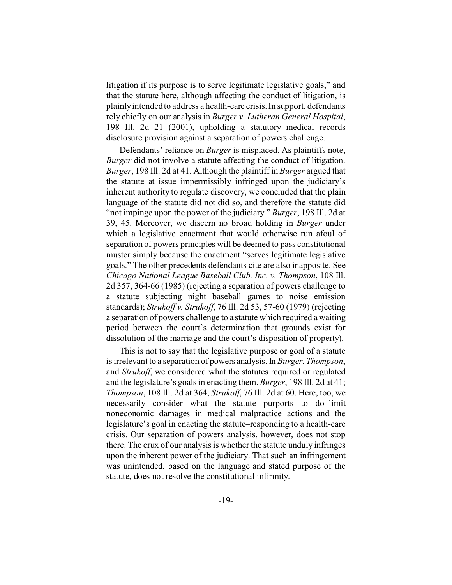litigation if its purpose is to serve legitimate legislative goals," and that the statute here, although affecting the conduct of litigation, is plainly intended to address a health-care crisis. In support, defendants rely chiefly on our analysis in *Burger v. Lutheran General Hospital*, 198 Ill. 2d 21 (2001), upholding a statutory medical records disclosure provision against a separation of powers challenge.

Defendants' reliance on *Burger* is misplaced. As plaintiffs note, *Burger* did not involve a statute affecting the conduct of litigation. *Burger*, 198 Ill. 2d at 41. Although the plaintiff in *Burger* argued that the statute at issue impermissibly infringed upon the judiciary's inherent authority to regulate discovery, we concluded that the plain language of the statute did not did so, and therefore the statute did "not impinge upon the power of the judiciary." *Burger*, 198 Ill. 2d at 39, 45. Moreover, we discern no broad holding in *Burger* under which a legislative enactment that would otherwise run afoul of separation of powers principles will be deemed to pass constitutional muster simply because the enactment "serves legitimate legislative goals." The other precedents defendants cite are also inapposite. See *Chicago National League Baseball Club, Inc. v. Thompson*, 108 Ill. 2d 357, 364-66 (1985) (rejecting a separation of powers challenge to a statute subjecting night baseball games to noise emission standards); *Strukoff v. Strukoff*, 76 Ill. 2d 53, 57-60 (1979) (rejecting a separation of powers challenge to a statute which required a waiting period between the court's determination that grounds exist for dissolution of the marriage and the court's disposition of property).

This is not to say that the legislative purpose or goal of a statute is irrelevant to a separation of powers analysis. In *Burger*, *Thompson*, and *Strukoff*, we considered what the statutes required or regulated and the legislature's goals in enacting them. *Burger*, 198 Ill. 2d at 41; *Thompson*, 108 Ill. 2d at 364; *Strukoff*, 76 Ill. 2d at 60. Here, too, we necessarily consider what the statute purports to do–limit noneconomic damages in medical malpractice actions–and the legislature's goal in enacting the statute–responding to a health-care crisis. Our separation of powers analysis, however, does not stop there. The crux of our analysis is whether the statute unduly infringes upon the inherent power of the judiciary. That such an infringement was unintended, based on the language and stated purpose of the statute, does not resolve the constitutional infirmity.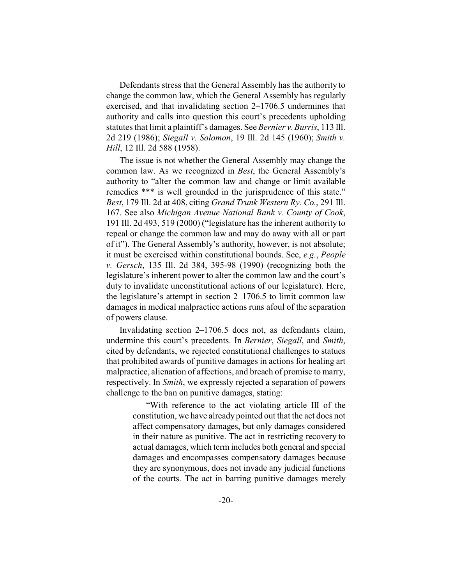Defendants stress that the General Assembly has the authority to change the common law, which the General Assembly has regularly exercised, and that invalidating section 2–1706.5 undermines that authority and calls into question this court's precedents upholding statutes that limit a plaintiff's damages. See *Bernier v. Burris*, 113 Ill. 2d 219 (1986); *Siegall v. Solomon*, 19 Ill. 2d 145 (1960); *Smith v. Hill*, 12 Ill. 2d 588 (1958).

The issue is not whether the General Assembly may change the common law. As we recognized in *Best*, the General Assembly's authority to "alter the common law and change or limit available remedies \*\*\* is well grounded in the jurisprudence of this state." *Best*, 179 Ill. 2d at 408, citing *Grand Trunk Western Ry. Co.*, 291 Ill. 167. See also *Michigan Avenue National Bank v. County of Cook*, 191 Ill. 2d 493, 519 (2000) ("legislature has the inherent authority to repeal or change the common law and may do away with all or part of it"). The General Assembly's authority, however, is not absolute; it must be exercised within constitutional bounds. See, *e.g.*, *People v. Gersch*, 135 Ill. 2d 384, 395-98 (1990) (recognizing both the legislature's inherent power to alter the common law and the court's duty to invalidate unconstitutional actions of our legislature). Here, the legislature's attempt in section 2–1706.5 to limit common law damages in medical malpractice actions runs afoul of the separation of powers clause.

Invalidating section 2–1706.5 does not, as defendants claim, undermine this court's precedents. In *Bernier*, *Siegall*, and *Smith*, cited by defendants, we rejected constitutional challenges to statues that prohibited awards of punitive damages in actions for healing art malpractice, alienation of affections, and breach of promise to marry, respectively. In *Smith*, we expressly rejected a separation of powers challenge to the ban on punitive damages, stating:

> "With reference to the act violating article III of the constitution, we have already pointed out that the act does not affect compensatory damages, but only damages considered in their nature as punitive. The act in restricting recovery to actual damages, which term includes both general and special damages and encompasses compensatory damages because they are synonymous, does not invade any judicial functions of the courts. The act in barring punitive damages merely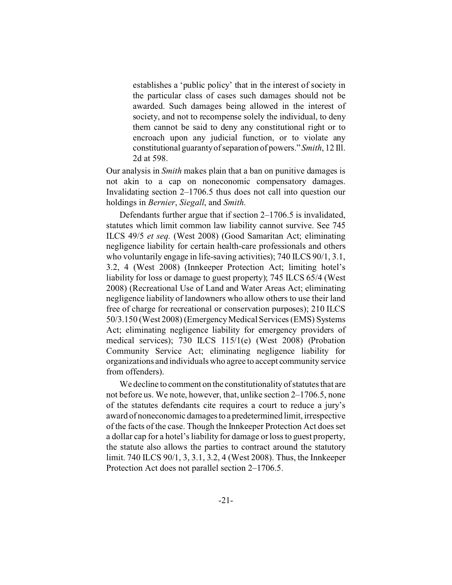establishes a 'public policy' that in the interest of society in the particular class of cases such damages should not be awarded. Such damages being allowed in the interest of society, and not to recompense solely the individual, to deny them cannot be said to deny any constitutional right or to encroach upon any judicial function, or to violate any constitutional guaranty of separation of powers." *Smith*, 12 Ill. 2d at 598.

Our analysis in *Smith* makes plain that a ban on punitive damages is not akin to a cap on noneconomic compensatory damages. Invalidating section 2–1706.5 thus does not call into question our holdings in *Bernier*, *Siegall*, and *Smith*.

Defendants further argue that if section 2–1706.5 is invalidated, statutes which limit common law liability cannot survive. See 745 ILCS 49/5 *et seq.* (West 2008) (Good Samaritan Act; eliminating negligence liability for certain health-care professionals and others who voluntarily engage in life-saving activities); 740 ILCS 90/1, 3.1, 3.2, 4 (West 2008) (Innkeeper Protection Act; limiting hotel's liability for loss or damage to guest property); 745 ILCS 65/4 (West 2008) (Recreational Use of Land and Water Areas Act; eliminating negligence liability of landowners who allow others to use their land free of charge for recreational or conservation purposes); 210 ILCS 50/3.150 (West 2008) (Emergency Medical Services (EMS) Systems Act; eliminating negligence liability for emergency providers of medical services); 730 ILCS 115/1(e) (West 2008) (Probation Community Service Act; eliminating negligence liability for organizations and individuals who agree to accept community service from offenders).

We decline to comment on the constitutionality of statutes that are not before us. We note, however, that, unlike section 2–1706.5, none of the statutes defendants cite requires a court to reduce a jury's award of noneconomic damagesto a predetermined limit, irrespective of the facts of the case. Though the Innkeeper Protection Act does set a dollar cap for a hotel's liability for damage or loss to guest property, the statute also allows the parties to contract around the statutory limit. 740 ILCS 90/1, 3, 3.1, 3.2, 4 (West 2008). Thus, the Innkeeper Protection Act does not parallel section 2–1706.5.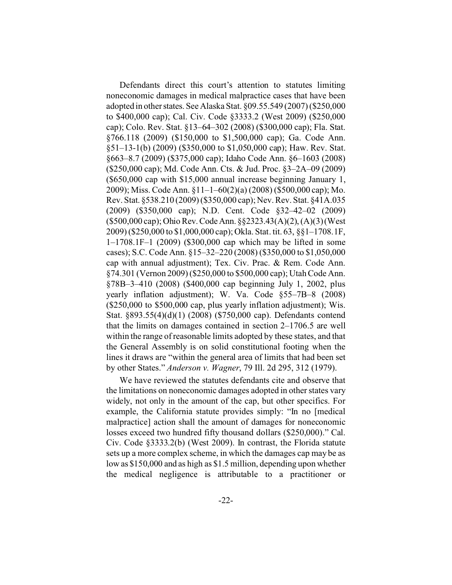Defendants direct this court's attention to statutes limiting noneconomic damages in medical malpractice cases that have been adopted in other states. See Alaska Stat. §09.55.549 (2007) (\$250,000 to \$400,000 cap); Cal. Civ. Code §3333.2 (West 2009) (\$250,000 cap); Colo. Rev. Stat. §13–64–302 (2008) (\$300,000 cap); Fla. Stat. §766.118 (2009) (\$150,000 to \$1,500,000 cap); Ga. Code Ann. §51–13-1(b) (2009) (\$350,000 to \$1,050,000 cap); Haw. Rev. Stat. §663–8.7 (2009) (\$375,000 cap); Idaho Code Ann. §6–1603 (2008) (\$250,000 cap); Md. Code Ann. Cts. & Jud. Proc. §3–2A–09 (2009) (\$650,000 cap with \$15,000 annual increase beginning January 1, 2009); Miss. Code Ann. §11–1–60(2)(a) (2008) (\$500,000 cap); Mo. Rev. Stat. §538.210 (2009) (\$350,000 cap); Nev. Rev. Stat. §41A.035 (2009) (\$350,000 cap); N.D. Cent. Code §32–42–02 (2009) (\$500,000 cap); Ohio Rev.CodeAnn. §§2323.43(A)(2), (A)(3) (West 2009) (\$250,000 to \$1,000,000 cap); Okla. Stat. tit. 63, §§1–1708.1F, 1–1708.1F–1 (2009) (\$300,000 cap which may be lifted in some cases); S.C. Code Ann. §15–32–220 (2008) (\$350,000 to \$1,050,000 cap with annual adjustment); Tex. Civ. Prac. & Rem. Code Ann. §74.301 (Vernon 2009) (\$250,000 to \$500,000 cap); Utah Code Ann. §78B–3–410 (2008) (\$400,000 cap beginning July 1, 2002, plus yearly inflation adjustment); W. Va. Code §55–7B–8 (2008) (\$250,000 to \$500,000 cap, plus yearly inflation adjustment); Wis. Stat. §893.55(4)(d)(1) (2008) (\$750,000 cap). Defendants contend that the limits on damages contained in section 2–1706.5 are well within the range of reasonable limits adopted by these states, and that the General Assembly is on solid constitutional footing when the lines it draws are "within the general area of limits that had been set by other States." *Anderson v. Wagner*, 79 Ill. 2d 295, 312 (1979).

We have reviewed the statutes defendants cite and observe that the limitations on noneconomic damages adopted in other states vary widely, not only in the amount of the cap, but other specifics. For example, the California statute provides simply: "In no [medical malpractice] action shall the amount of damages for noneconomic losses exceed two hundred fifty thousand dollars (\$250,000)." Cal. Civ. Code §3333.2(b) (West 2009). In contrast, the Florida statute sets up a more complex scheme, in which the damages cap may be as low as \$150,000 and as high as \$1.5 million, depending upon whether the medical negligence is attributable to a practitioner or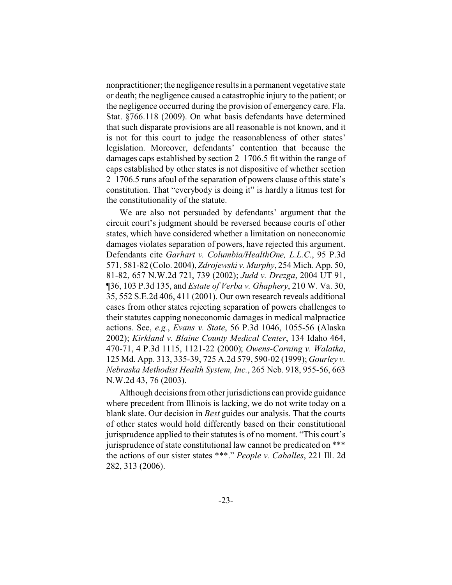nonpractitioner; the negligence results in a permanent vegetative state or death; the negligence caused a catastrophic injury to the patient; or the negligence occurred during the provision of emergency care. Fla. Stat. §766.118 (2009). On what basis defendants have determined that such disparate provisions are all reasonable is not known, and it is not for this court to judge the reasonableness of other states' legislation. Moreover, defendants' contention that because the damages caps established by section 2–1706.5 fit within the range of caps established by other states is not dispositive of whether section 2–1706.5 runs afoul of the separation of powers clause of this state's constitution. That "everybody is doing it" is hardly a litmus test for the constitutionality of the statute.

We are also not persuaded by defendants' argument that the circuit court's judgment should be reversed because courts of other states, which have considered whether a limitation on noneconomic damages violates separation of powers, have rejected this argument. Defendants cite *Garhart v. Columbia/HealthOne, L.L.C.*, 95 P.3d 571, 581-82 (Colo. 2004), *Zdrojewski v. Murphy*, 254 Mich. App. 50, 81-82, 657 N.W.2d 721, 739 (2002); *Judd v. Drezga*, 2004 UT 91, ¶36, 103 P.3d 135, and *Estate of Verba v. Ghaphery*, 210 W. Va. 30, 35, 552 S.E.2d 406, 411 (2001). Our own research reveals additional cases from other states rejecting separation of powers challenges to their statutes capping noneconomic damages in medical malpractice actions. See, *e.g.*, *Evans v. State*, 56 P.3d 1046, 1055-56 (Alaska 2002); *Kirkland v. Blaine County Medical Center*, 134 Idaho 464, 470-71, 4 P.3d 1115, 1121-22 (2000); *Owens-Corning v. Walatka*, 125 Md. App. 313, 335-39, 725 A.2d 579, 590-02 (1999); *Gourley v. Nebraska Methodist Health System, Inc.*, 265 Neb. 918, 955-56, 663 N.W.2d 43, 76 (2003).

Although decisions from other jurisdictions can provide guidance where precedent from Illinois is lacking, we do not write today on a blank slate. Our decision in *Best* guides our analysis. That the courts of other states would hold differently based on their constitutional jurisprudence applied to their statutes is of no moment. "This court's jurisprudence of state constitutional law cannot be predicated on \*\*\* the actions of our sister states \*\*\*." *People v. Caballes*, 221 Ill. 2d 282, 313 (2006).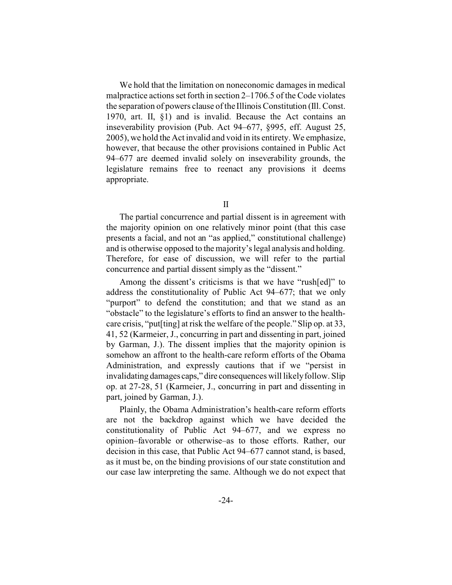We hold that the limitation on noneconomic damages in medical malpractice actions set forth in section 2–1706.5 of the Code violates the separation of powers clause of the Illinois Constitution (Ill. Const. 1970, art. II, §1) and is invalid. Because the Act contains an inseverability provision (Pub. Act 94–677, §995, eff. August 25, 2005), we hold the Act invalid and void in its entirety. We emphasize, however, that because the other provisions contained in Public Act 94–677 are deemed invalid solely on inseverability grounds, the legislature remains free to reenact any provisions it deems appropriate.

II

The partial concurrence and partial dissent is in agreement with the majority opinion on one relatively minor point (that this case presents a facial, and not an "as applied," constitutional challenge) and is otherwise opposed to the majority's legal analysis and holding. Therefore, for ease of discussion, we will refer to the partial concurrence and partial dissent simply as the "dissent."

Among the dissent's criticisms is that we have "rush[ed]" to address the constitutionality of Public Act 94–677; that we only "purport" to defend the constitution; and that we stand as an "obstacle" to the legislature's efforts to find an answer to the healthcare crisis, "put[ting] at risk the welfare of the people." Slip op. at 33, 41, 52 (Karmeier, J., concurring in part and dissenting in part, joined by Garman, J.). The dissent implies that the majority opinion is somehow an affront to the health-care reform efforts of the Obama Administration, and expressly cautions that if we "persist in invalidating damages caps," dire consequences will likely follow. Slip op. at 27-28, 51 (Karmeier, J., concurring in part and dissenting in part, joined by Garman, J.).

Plainly, the Obama Administration's health-care reform efforts are not the backdrop against which we have decided the constitutionality of Public Act 94–677, and we express no opinion–favorable or otherwise–as to those efforts. Rather, our decision in this case, that Public Act 94–677 cannot stand, is based, as it must be, on the binding provisions of our state constitution and our case law interpreting the same. Although we do not expect that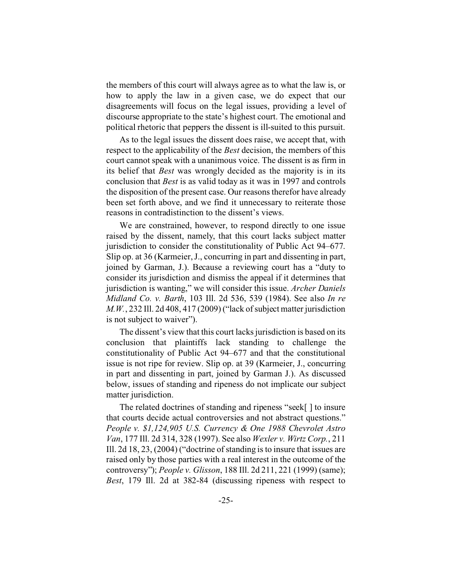the members of this court will always agree as to what the law is, or how to apply the law in a given case, we do expect that our disagreements will focus on the legal issues, providing a level of discourse appropriate to the state's highest court. The emotional and political rhetoric that peppers the dissent is ill-suited to this pursuit.

As to the legal issues the dissent does raise, we accept that, with respect to the applicability of the *Best* decision, the members of this court cannot speak with a unanimous voice. The dissent is as firm in its belief that *Best* was wrongly decided as the majority is in its conclusion that *Best* is as valid today as it was in 1997 and controls the disposition of the present case. Our reasons therefor have already been set forth above, and we find it unnecessary to reiterate those reasons in contradistinction to the dissent's views.

We are constrained, however, to respond directly to one issue raised by the dissent, namely, that this court lacks subject matter jurisdiction to consider the constitutionality of Public Act 94–677. Slip op. at 36 (Karmeier, J., concurring in part and dissenting in part, joined by Garman, J.). Because a reviewing court has a "duty to consider its jurisdiction and dismiss the appeal if it determines that jurisdiction is wanting," we will consider this issue. *Archer Daniels Midland Co. v. Barth*, 103 Ill. 2d 536, 539 (1984). See also *In re M.W.*, 232 Ill. 2d 408, 417 (2009) ("lack of subject matter jurisdiction is not subject to waiver").

The dissent's view that this court lacks jurisdiction is based on its conclusion that plaintiffs lack standing to challenge the constitutionality of Public Act 94–677 and that the constitutional issue is not ripe for review. Slip op. at 39 (Karmeier, J., concurring in part and dissenting in part, joined by Garman J.). As discussed below, issues of standing and ripeness do not implicate our subject matter jurisdiction.

The related doctrines of standing and ripeness "seek[ ] to insure that courts decide actual controversies and not abstract questions." *People v. \$1,124,905 U.S. Currency & One 1988 Chevrolet Astro Van*, 177 Ill. 2d 314, 328 (1997). See also *Wexler v. Wirtz Corp.*, 211 Ill. 2d 18, 23, (2004) ("doctrine of standing is to insure that issues are raised only by those parties with a real interest in the outcome of the controversy"); *People v. Glisson*, 188 Ill. 2d 211, 221 (1999) (same); *Best*, 179 Ill. 2d at 382-84 (discussing ripeness with respect to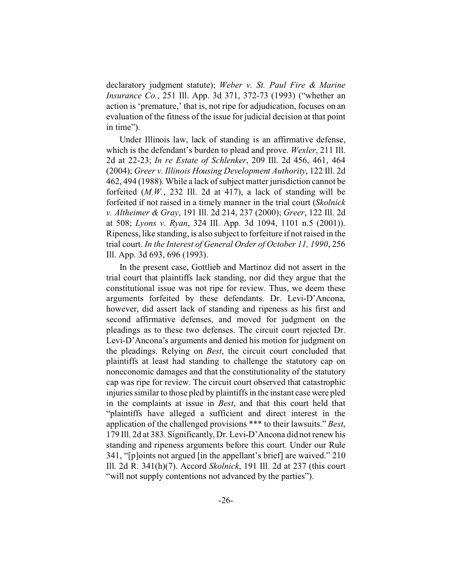declaratory judgment statute); *Weber v. St. Paul Fire & Marine Insurance Co.*, 251 Ill. App. 3d 371, 372-73 (1993) ("whether an action is 'premature,' that is, not ripe for adjudication, focuses on an evaluation of the fitness of the issue for judicial decision at that point in time").

Under Illinois law, lack of standing is an affirmative defense, which is the defendant's burden to plead and prove. *Wexler*, 211 Ill. 2d at 22-23; *In re Estate of Schlenker*, 209 Ill. 2d 456, 461, 464 (2004); *Greer v. Illinois Housing Development Authority*, 122 Ill. 2d 462, 494 (1988). While a lack of subject matter jurisdiction cannot be forfeited (*M.W.*, 232 Ill. 2d at 417), a lack of standing will be forfeited if not raised in a timely manner in the trial court (*Skolnick v. Altheimer & Gray*, 191 Ill. 2d 214, 237 (2000); *Greer*, 122 Ill. 2d at 508; *Lyons v. Ryan*, 324 Ill. App. 3d 1094, 1101 n.5 (2001)). Ripeness, like standing, is also subject to forfeiture if not raised in the trial court. *In the Interest of General Order of October 11, 1990*, 256 Ill. App. 3d 693, 696 (1993).

In the present case, Gottlieb and Martinoz did not assert in the trial court that plaintiffs lack standing, nor did they argue that the constitutional issue was not ripe for review. Thus, we deem these arguments forfeited by these defendants. Dr. Levi-D'Ancona, however, did assert lack of standing and ripeness as his first and second affirmative defenses, and moved for judgment on the pleadings as to these two defenses. The circuit court rejected Dr. Levi-D'Ancona's arguments and denied his motion for judgment on the pleadings. Relying on *Best*, the circuit court concluded that plaintiffs at least had standing to challenge the statutory cap on noneconomic damages and that the constitutionality of the statutory cap was ripe for review. The circuit court observed that catastrophic injuries similar to those pled by plaintiffs in the instant case were pled in the complaints at issue in *Best*, and that this court held that "plaintiffs have alleged a sufficient and direct interest in the application of the challenged provisions \*\*\* to their lawsuits." *Best*, 179 Ill. 2d at 383. Significantly, Dr. Levi-D'Ancona did not renew his standing and ripeness arguments before this court. Under our Rule 341, "[p]oints not argued [in the appellant's brief] are waived." 210 Ill. 2d R. 341(h)(7). Accord *Skolnick*, 191 Ill. 2d at 237 (this court "will not supply contentions not advanced by the parties").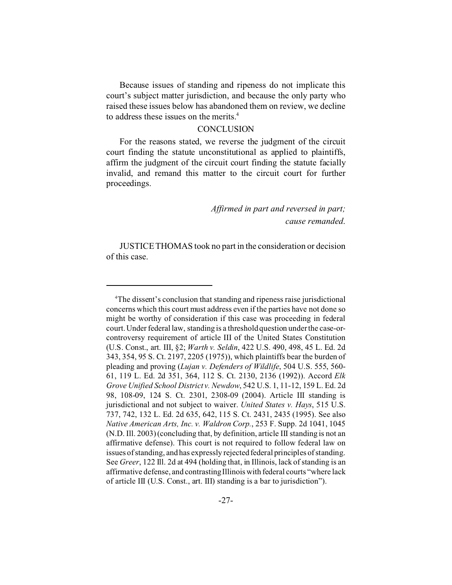Because issues of standing and ripeness do not implicate this court's subject matter jurisdiction, and because the only party who raised these issues below has abandoned them on review, we decline to address these issues on the merits.<sup>4</sup>

#### **CONCLUSION**

For the reasons stated, we reverse the judgment of the circuit court finding the statute unconstitutional as applied to plaintiffs, affirm the judgment of the circuit court finding the statute facially invalid, and remand this matter to the circuit court for further proceedings.

> *Affirmed in part and reversed in part; cause remanded*.

JUSTICE THOMAS took no part in the consideration or decision of this case.

<sup>&</sup>lt;sup>4</sup>The dissent's conclusion that standing and ripeness raise jurisdictional concerns which this court must address even if the parties have not done so might be worthy of consideration if this case was proceeding in federal court. Under federal law, standing is a threshold question under the case-orcontroversy requirement of article III of the United States Constitution (U.S. Const., art. III, §2; *Warth v. Seldin*, 422 U.S. 490, 498, 45 L. Ed. 2d 343, 354, 95 S. Ct. 2197, 2205 (1975)), which plaintiffs bear the burden of pleading and proving (*Lujan v. Defenders of Wildlife*, 504 U.S. 555, 560- 61, 119 L. Ed. 2d 351, 364, 112 S. Ct. 2130, 2136 (1992)). Accord *Elk Grove Unified School District v. Newdow*, 542 U.S. 1, 11-12, 159 L. Ed. 2d 98, 108-09, 124 S. Ct. 2301, 2308-09 (2004). Article III standing is jurisdictional and not subject to waiver. *United States v. Hays*, 515 U.S. 737, 742, 132 L. Ed. 2d 635, 642, 115 S. Ct. 2431, 2435 (1995). See also *Native American Arts, Inc. v. Waldron Corp.*, 253 F. Supp. 2d 1041, 1045 (N.D. Ill. 2003) (concluding that, by definition, article III standing is not an affirmative defense). This court is not required to follow federal law on issues of standing, and has expressly rejected federal principles of standing. See *Greer*, 122 Ill. 2d at 494 (holding that, in Illinois, lack of standing is an affirmative defense, and contrasting Illinois with federal courts "where lack of article III (U.S. Const., art. III) standing is a bar to jurisdiction").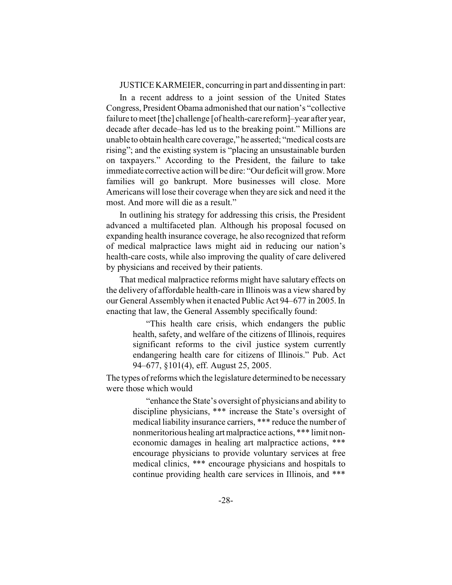JUSTICE KARMEIER, concurring in part and dissenting in part:

In a recent address to a joint session of the United States Congress, President Obama admonished that our nation's "collective failure to meet [the] challenge [of health-care reform]–year after year, decade after decade–has led us to the breaking point." Millions are unable to obtain health care coverage," he asserted; "medical costs are rising"; and the existing system is "placing an unsustainable burden on taxpayers." According to the President, the failure to take immediate corrective action will be dire: "Our deficit will grow. More families will go bankrupt. More businesses will close. More Americans will lose their coverage when they are sick and need it the most. And more will die as a result."

In outlining his strategy for addressing this crisis, the President advanced a multifaceted plan. Although his proposal focused on expanding health insurance coverage, he also recognized that reform of medical malpractice laws might aid in reducing our nation's health-care costs, while also improving the quality of care delivered by physicians and received by their patients.

That medical malpractice reforms might have salutary effects on the delivery of affordable health-care in Illinois was a view shared by our General Assembly when it enacted Public Act 94–677 in 2005. In enacting that law, the General Assembly specifically found:

> "This health care crisis, which endangers the public health, safety, and welfare of the citizens of Illinois, requires significant reforms to the civil justice system currently endangering health care for citizens of Illinois." Pub. Act 94–677, §101(4), eff. August 25, 2005.

The types of reforms which the legislature determined to be necessary were those which would

> "enhance the State's oversight of physicians and ability to discipline physicians, \*\*\* increase the State's oversight of medical liability insurance carriers, \*\*\* reduce the number of nonmeritorious healing artmalpractice actions, \*\*\* limit noneconomic damages in healing art malpractice actions, \*\*\* encourage physicians to provide voluntary services at free medical clinics, \*\*\* encourage physicians and hospitals to continue providing health care services in Illinois, and \*\*\*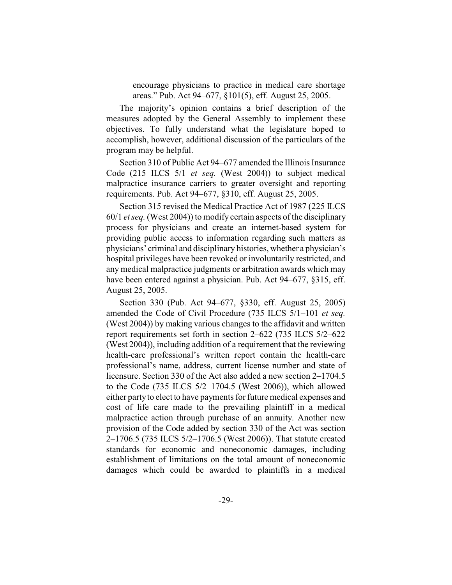encourage physicians to practice in medical care shortage areas." Pub. Act 94–677, §101(5), eff. August 25, 2005.

The majority's opinion contains a brief description of the measures adopted by the General Assembly to implement these objectives. To fully understand what the legislature hoped to accomplish, however, additional discussion of the particulars of the program may be helpful.

Section 310 of Public Act 94–677 amended the Illinois Insurance Code (215 ILCS 5/1 *et seq.* (West 2004)) to subject medical malpractice insurance carriers to greater oversight and reporting requirements. Pub. Act 94–677, §310, eff. August 25, 2005.

Section 315 revised the Medical Practice Act of 1987 (225 ILCS 60/1 *et seq.* (West 2004)) to modify certain aspects of the disciplinary process for physicians and create an internet-based system for providing public access to information regarding such matters as physicians' criminal and disciplinary histories, whether a physician's hospital privileges have been revoked or involuntarily restricted, and any medical malpractice judgments or arbitration awards which may have been entered against a physician. Pub. Act 94–677, §315, eff. August 25, 2005.

Section 330 (Pub. Act 94–677, §330, eff. August 25, 2005) amended the Code of Civil Procedure (735 ILCS 5/1–101 *et seq.* (West 2004)) by making various changes to the affidavit and written report requirements set forth in section 2–622 (735 ILCS 5/2–622 (West 2004)), including addition of a requirement that the reviewing health-care professional's written report contain the health-care professional's name, address, current license number and state of licensure. Section 330 of the Act also added a new section 2–1704.5 to the Code (735 ILCS 5/2–1704.5 (West 2006)), which allowed either party to elect to have payments for future medical expenses and cost of life care made to the prevailing plaintiff in a medical malpractice action through purchase of an annuity. Another new provision of the Code added by section 330 of the Act was section 2–1706.5 (735 ILCS 5/2–1706.5 (West 2006)). That statute created standards for economic and noneconomic damages, including establishment of limitations on the total amount of noneconomic damages which could be awarded to plaintiffs in a medical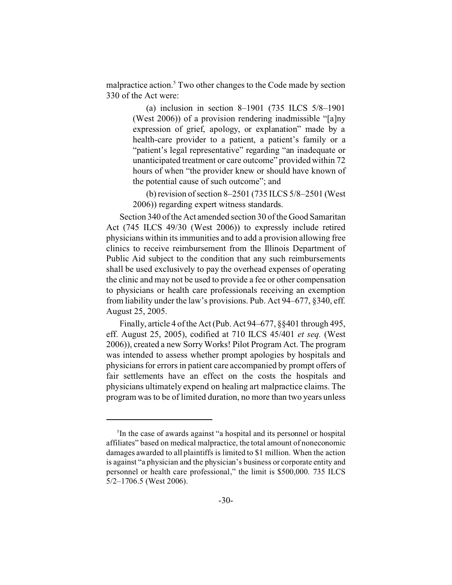malpractice action.<sup>5</sup> Two other changes to the Code made by section 330 of the Act were:

> (a) inclusion in section 8–1901 (735 ILCS 5/8–1901 (West 2006)) of a provision rendering inadmissible "[a]ny expression of grief, apology, or explanation" made by a health-care provider to a patient, a patient's family or a "patient's legal representative" regarding "an inadequate or unanticipated treatment or care outcome" provided within 72 hours of when "the provider knew or should have known of the potential cause of such outcome"; and

> (b) revision of section 8–2501 (735 ILCS 5/8–2501 (West 2006)) regarding expert witness standards.

Section 340 of the Act amended section 30 of the Good Samaritan Act (745 ILCS 49/30 (West 2006)) to expressly include retired physicians within its immunities and to add a provision allowing free clinics to receive reimbursement from the Illinois Department of Public Aid subject to the condition that any such reimbursements shall be used exclusively to pay the overhead expenses of operating the clinic and may not be used to provide a fee or other compensation to physicians or health care professionals receiving an exemption from liability under the law's provisions. Pub. Act 94–677, §340, eff. August 25, 2005.

Finally, article 4 of the Act (Pub. Act 94–677, §§401 through 495, eff. August 25, 2005), codified at 710 ILCS 45/401 *et seq.* (West 2006)), created a new Sorry Works! Pilot Program Act. The program was intended to assess whether prompt apologies by hospitals and physicians for errors in patient care accompanied by prompt offers of fair settlements have an effect on the costs the hospitals and physicians ultimately expend on healing art malpractice claims. The program was to be of limited duration, no more than two years unless

<sup>5</sup> In the case of awards against "a hospital and its personnel or hospital affiliates" based on medical malpractice, the total amount of noneconomic damages awarded to all plaintiffs is limited to \$1 million. When the action is against "a physician and the physician's business or corporate entity and personnel or health care professional," the limit is \$500,000. 735 ILCS 5/2–1706.5 (West 2006).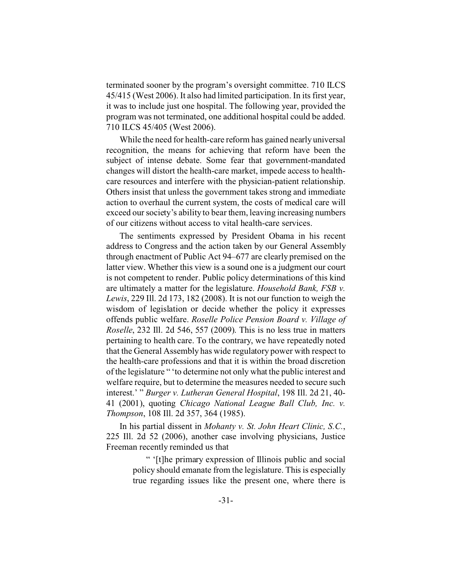terminated sooner by the program's oversight committee. 710 ILCS 45/415 (West 2006). It also had limited participation. In its first year, it was to include just one hospital. The following year, provided the program was not terminated, one additional hospital could be added. 710 ILCS 45/405 (West 2006).

While the need for health-care reform has gained nearly universal recognition, the means for achieving that reform have been the subject of intense debate. Some fear that government-mandated changes will distort the health-care market, impede access to healthcare resources and interfere with the physician-patient relationship. Others insist that unless the government takes strong and immediate action to overhaul the current system, the costs of medical care will exceed our society's ability to bear them, leaving increasing numbers of our citizens without access to vital health-care services.

The sentiments expressed by President Obama in his recent address to Congress and the action taken by our General Assembly through enactment of Public Act 94–677 are clearly premised on the latter view. Whether this view is a sound one is a judgment our court is not competent to render. Public policy determinations of this kind are ultimately a matter for the legislature. *Household Bank, FSB v. Lewis*, 229 Ill. 2d 173, 182 (2008). It is not our function to weigh the wisdom of legislation or decide whether the policy it expresses offends public welfare. *Roselle Police Pension Board v. Village of Roselle*, 232 Ill. 2d 546, 557 (2009). This is no less true in matters pertaining to health care. To the contrary, we have repeatedly noted that the General Assembly has wide regulatory power with respect to the health-care professions and that it is within the broad discretion of the legislature " 'to determine not only what the public interest and welfare require, but to determine the measures needed to secure such interest.' " *Burger v. Lutheran General Hospital*, 198 Ill. 2d 21, 40- 41 (2001), quoting *Chicago National League Ball Club, Inc. v. Thompson*, 108 Ill. 2d 357, 364 (1985).

In his partial dissent in *Mohanty v. St. John Heart Clinic, S.C.*, 225 Ill. 2d 52 (2006), another case involving physicians, Justice Freeman recently reminded us that

> " '[t]he primary expression of Illinois public and social policy should emanate from the legislature. This is especially true regarding issues like the present one, where there is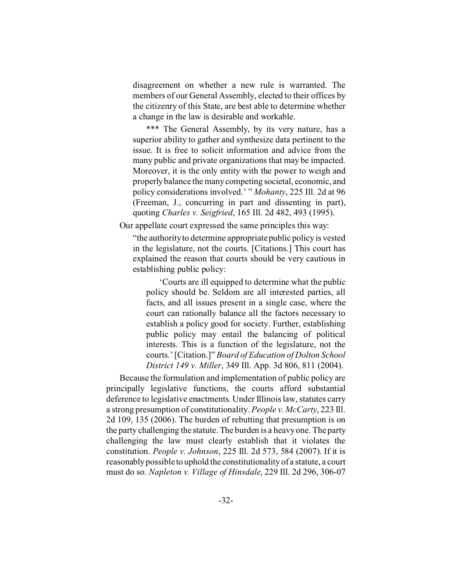disagreement on whether a new rule is warranted. The members of our General Assembly, elected to their offices by the citizenry of this State, are best able to determine whether a change in the law is desirable and workable.

\*\*\* The General Assembly, by its very nature, has a superior ability to gather and synthesize data pertinent to the issue. It is free to solicit information and advice from the many public and private organizations that may be impacted. Moreover, it is the only entity with the power to weigh and properly balance the many competing societal, economic, and policy considerations involved.' " *Mohanty*, 225 Ill. 2d at 96 (Freeman, J., concurring in part and dissenting in part), quoting *Charles v. Seigfried*, 165 Ill. 2d 482, 493 (1995).

Our appellate court expressed the same principles this way:

"the authority to determine appropriate public policy is vested in the legislature, not the courts. [Citations.] This court has explained the reason that courts should be very cautious in establishing public policy:

'Courts are ill equipped to determine what the public policy should be. Seldom are all interested parties, all facts, and all issues present in a single case, where the court can rationally balance all the factors necessary to establish a policy good for society. Further, establishing public policy may entail the balancing of political interests. This is a function of the legislature, not the courts.' [Citation.]" *Board of Education of Dolton School District 149 v. Miller*, 349 Ill. App. 3d 806, 811 (2004).

Because the formulation and implementation of public policy are principally legislative functions, the courts afford substantial deference to legislative enactments. Under Illinois law, statutes carry a strong presumption of constitutionality. *People v. McCarty*, 223 Ill. 2d 109, 135 (2006). The burden of rebutting that presumption is on the party challenging the statute. The burden is a heavy one. The party challenging the law must clearly establish that it violates the constitution. *People v. Johnson*, 225 Ill. 2d 573, 584 (2007). If it is reasonably possible to uphold the constitutionality of a statute, a court must do so. *Napleton v. Village of Hinsdale*, 229 Ill. 2d 296, 306-07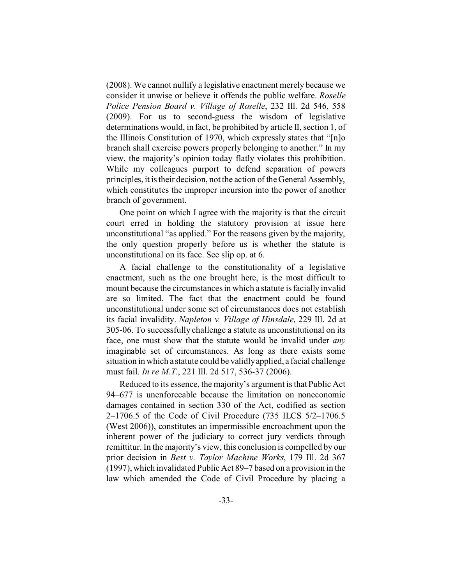(2008). We cannot nullify a legislative enactment merely because we consider it unwise or believe it offends the public welfare. *Roselle Police Pension Board v. Village of Roselle*, 232 Ill. 2d 546, 558 (2009). For us to second-guess the wisdom of legislative determinations would, in fact, be prohibited by article II, section 1, of the Illinois Constitution of 1970, which expressly states that "[n]o branch shall exercise powers properly belonging to another." In my view, the majority's opinion today flatly violates this prohibition. While my colleagues purport to defend separation of powers principles, it is their decision, not the action of the General Assembly, which constitutes the improper incursion into the power of another branch of government.

One point on which I agree with the majority is that the circuit court erred in holding the statutory provision at issue here unconstitutional "as applied." For the reasons given by the majority, the only question properly before us is whether the statute is unconstitutional on its face. See slip op. at 6.

A facial challenge to the constitutionality of a legislative enactment, such as the one brought here, is the most difficult to mount because the circumstances in which a statute is facially invalid are so limited. The fact that the enactment could be found unconstitutional under some set of circumstances does not establish its facial invalidity. *Napleton v. Village of Hinsdale*, 229 Ill. 2d at 305-06. To successfully challenge a statute as unconstitutional on its face, one must show that the statute would be invalid under *any* imaginable set of circumstances. As long as there exists some situation in which a statute could be validly applied, a facial challenge must fail. *In re M.T.*, 221 Ill. 2d 517, 536-37 (2006).

Reduced to its essence, the majority's argument is that Public Act 94–677 is unenforceable because the limitation on noneconomic damages contained in section 330 of the Act, codified as section 2–1706.5 of the Code of Civil Procedure (735 ILCS 5/2–1706.5 (West 2006)), constitutes an impermissible encroachment upon the inherent power of the judiciary to correct jury verdicts through remittitur. In the majority's view, this conclusion is compelled by our prior decision in *Best v. Taylor Machine Works*, 179 Ill. 2d 367 (1997), which invalidated Public Act 89–7 based on a provision in the law which amended the Code of Civil Procedure by placing a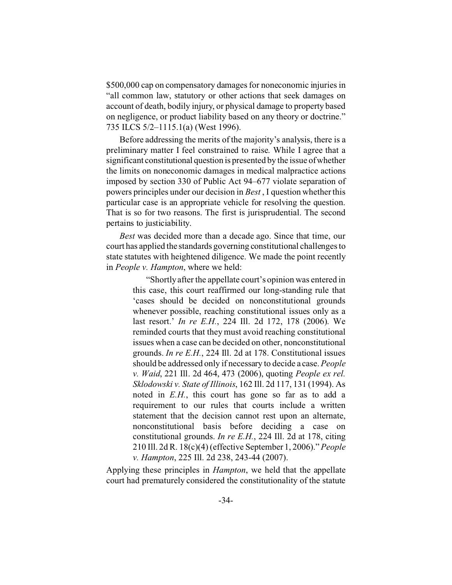\$500,000 cap on compensatory damages for noneconomic injuries in "all common law, statutory or other actions that seek damages on account of death, bodily injury, or physical damage to property based on negligence, or product liability based on any theory or doctrine." 735 ILCS 5/2–1115.1(a) (West 1996).

Before addressing the merits of the majority's analysis, there is a preliminary matter I feel constrained to raise. While I agree that a significant constitutional question is presented by the issue of whether the limits on noneconomic damages in medical malpractice actions imposed by section 330 of Public Act 94–677 violate separation of powers principles under our decision in *Best* , I question whether this particular case is an appropriate vehicle for resolving the question. That is so for two reasons. The first is jurisprudential. The second pertains to justiciability.

*Best* was decided more than a decade ago. Since that time, our court has applied the standards governing constitutional challenges to state statutes with heightened diligence. We made the point recently in *People v. Hampton*, where we held:

> "Shortly after the appellate court's opinion was entered in this case, this court reaffirmed our long-standing rule that 'cases should be decided on nonconstitutional grounds whenever possible, reaching constitutional issues only as a last resort.' *In re E.H.*, 224 Ill. 2d 172, 178 (2006). We reminded courts that they must avoid reaching constitutional issues when a case can be decided on other, nonconstitutional grounds. *In re E.H.*, 224 Ill. 2d at 178. Constitutional issues should be addressed only if necessary to decide a case. *People v. Waid*, 221 Ill. 2d 464, 473 (2006), quoting *People ex rel. Sklodowski v. State of Illinois*, 162 Ill. 2d 117, 131 (1994). As noted in *E.H.*, this court has gone so far as to add a requirement to our rules that courts include a written statement that the decision cannot rest upon an alternate, nonconstitutional basis before deciding a case on constitutional grounds. *In re E.H.*, 224 Ill. 2d at 178, citing 210 Ill. 2d R. 18(c)(4) (effective September 1, 2006)." *People v. Hampton*, 225 Ill. 2d 238, 243-44 (2007).

Applying these principles in *Hampton*, we held that the appellate court had prematurely considered the constitutionality of the statute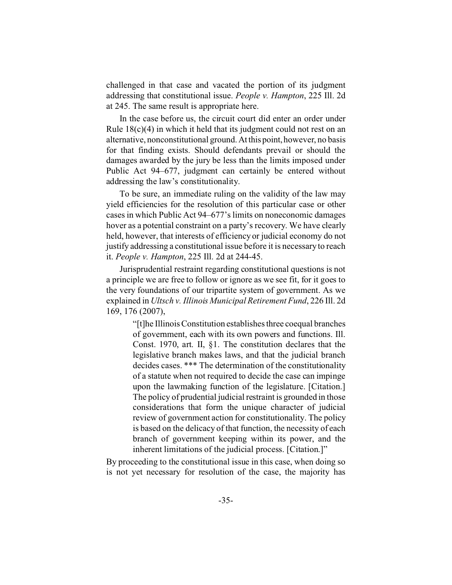challenged in that case and vacated the portion of its judgment addressing that constitutional issue. *People v. Hampton*, 225 Ill. 2d at 245. The same result is appropriate here.

In the case before us, the circuit court did enter an order under Rule  $18(c)(4)$  in which it held that its judgment could not rest on an alternative, nonconstitutional ground. At this point, however, no basis for that finding exists. Should defendants prevail or should the damages awarded by the jury be less than the limits imposed under Public Act 94–677, judgment can certainly be entered without addressing the law's constitutionality.

To be sure, an immediate ruling on the validity of the law may yield efficiencies for the resolution of this particular case or other cases in which Public Act 94–677's limits on noneconomic damages hover as a potential constraint on a party's recovery. We have clearly held, however, that interests of efficiency or judicial economy do not justify addressing a constitutional issue before it is necessary to reach it. *People v. Hampton*, 225 Ill. 2d at 244-45.

Jurisprudential restraint regarding constitutional questions is not a principle we are free to follow or ignore as we see fit, for it goes to the very foundations of our tripartite system of government. As we explained in *Ultsch v. Illinois Municipal Retirement Fund*, 226 Ill. 2d 169, 176 (2007),

> "[t]he Illinois Constitution establishes three coequal branches of government, each with its own powers and functions. Ill. Const. 1970, art. II, §1. The constitution declares that the legislative branch makes laws, and that the judicial branch decides cases. \*\*\* The determination of the constitutionality of a statute when not required to decide the case can impinge upon the lawmaking function of the legislature. [Citation.] The policy of prudential judicial restraint is grounded in those considerations that form the unique character of judicial review of government action for constitutionality. The policy is based on the delicacy of that function, the necessity of each branch of government keeping within its power, and the inherent limitations of the judicial process. [Citation.]"

By proceeding to the constitutional issue in this case, when doing so is not yet necessary for resolution of the case, the majority has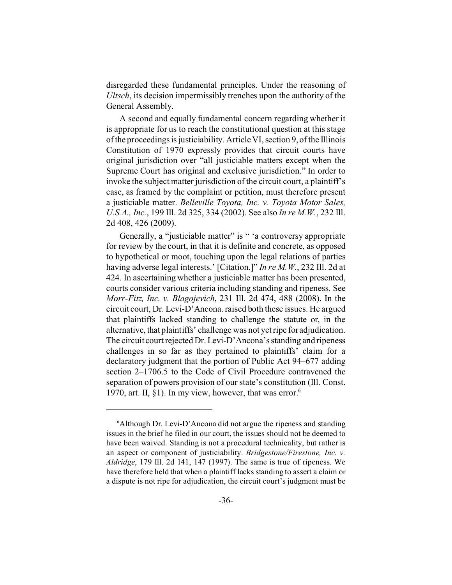disregarded these fundamental principles. Under the reasoning of *Ultsch*, its decision impermissibly trenches upon the authority of the General Assembly.

A second and equally fundamental concern regarding whether it is appropriate for us to reach the constitutional question at this stage of the proceedings is justiciability. Article VI, section 9, of the Illinois Constitution of 1970 expressly provides that circuit courts have original jurisdiction over "all justiciable matters except when the Supreme Court has original and exclusive jurisdiction." In order to invoke the subject matter jurisdiction of the circuit court, a plaintiff's case, as framed by the complaint or petition, must therefore present a justiciable matter. *Belleville Toyota, Inc. v. Toyota Motor Sales, U.S.A., Inc.*, 199 Ill. 2d 325, 334 (2002). See also *In re M.W.*, 232 Ill. 2d 408, 426 (2009).

Generally, a "justiciable matter" is " 'a controversy appropriate for review by the court, in that it is definite and concrete, as opposed to hypothetical or moot, touching upon the legal relations of parties having adverse legal interests.' [Citation.]" *In re M.W.*, 232 Ill. 2d at 424. In ascertaining whether a justiciable matter has been presented, courts consider various criteria including standing and ripeness. See *Morr-Fitz, Inc. v. Blagojevich*, 231 Ill. 2d 474, 488 (2008). In the circuit court, Dr. Levi-D'Ancona. raised both these issues. He argued that plaintiffs lacked standing to challenge the statute or, in the alternative, that plaintiffs' challenge was not yet ripe for adjudication. The circuit court rejected Dr. Levi-D'Ancona's standing and ripeness challenges in so far as they pertained to plaintiffs' claim for a declaratory judgment that the portion of Public Act 94–677 adding section 2–1706.5 to the Code of Civil Procedure contravened the separation of powers provision of our state's constitution (Ill. Const. 1970, art. II,  $\S1$ ). In my view, however, that was error.<sup>6</sup>

<sup>&</sup>lt;sup>6</sup>Although Dr. Levi-D'Ancona did not argue the ripeness and standing issues in the brief he filed in our court, the issues should not be deemed to have been waived. Standing is not a procedural technicality, but rather is an aspect or component of justiciability. *Bridgestone/Firestone, Inc. v. Aldridge*, 179 Ill. 2d 141, 147 (1997). The same is true of ripeness. We have therefore held that when a plaintiff lacks standing to assert a claim or a dispute is not ripe for adjudication, the circuit court's judgment must be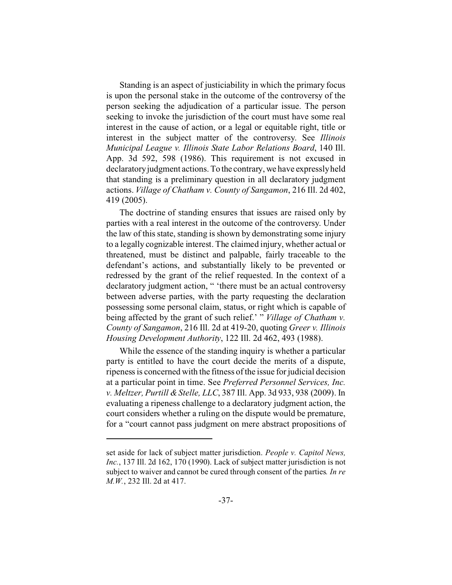Standing is an aspect of justiciability in which the primary focus is upon the personal stake in the outcome of the controversy of the person seeking the adjudication of a particular issue. The person seeking to invoke the jurisdiction of the court must have some real interest in the cause of action, or a legal or equitable right, title or interest in the subject matter of the controversy. See *Illinois Municipal League v. Illinois State Labor Relations Board*, 140 Ill. App. 3d 592, 598 (1986). This requirement is not excused in declaratory judgment actions. To the contrary, we have expressly held that standing is a preliminary question in all declaratory judgment actions. *Village of Chatham v. County of Sangamon*, 216 Ill. 2d 402, 419 (2005).

The doctrine of standing ensures that issues are raised only by parties with a real interest in the outcome of the controversy. Under the law of this state, standing is shown by demonstrating some injury to a legally cognizable interest. The claimed injury, whether actual or threatened, must be distinct and palpable, fairly traceable to the defendant's actions, and substantially likely to be prevented or redressed by the grant of the relief requested. In the context of a declaratory judgment action, " 'there must be an actual controversy between adverse parties, with the party requesting the declaration possessing some personal claim, status, or right which is capable of being affected by the grant of such relief.' " *Village of Chatham v. County of Sangamon*, 216 Ill. 2d at 419-20, quoting *Greer v. Illinois Housing Development Authority*, 122 Ill. 2d 462, 493 (1988).

While the essence of the standing inquiry is whether a particular party is entitled to have the court decide the merits of a dispute, ripeness is concerned with the fitness of the issue for judicial decision at a particular point in time. See *Preferred Personnel Services, Inc. v. Meltzer, Purtill & Stelle, LLC*, 387 Ill. App. 3d 933, 938 (2009). In evaluating a ripeness challenge to a declaratory judgment action, the court considers whether a ruling on the dispute would be premature, for a "court cannot pass judgment on mere abstract propositions of

set aside for lack of subject matter jurisdiction. *People v. Capitol News, Inc.*, 137 Ill. 2d 162, 170 (1990). Lack of subject matter jurisdiction is not subject to waiver and cannot be cured through consent of the parties*. In re M.W.*, 232 Ill. 2d at 417.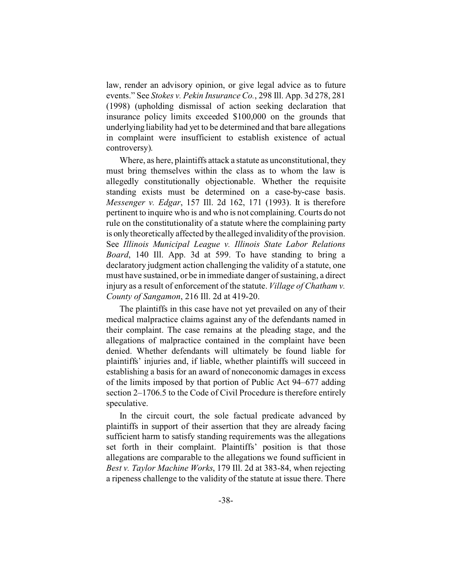law, render an advisory opinion, or give legal advice as to future events." See *Stokes v. Pekin Insurance Co.*, 298 Ill. App. 3d 278, 281 (1998) (upholding dismissal of action seeking declaration that insurance policy limits exceeded \$100,000 on the grounds that underlying liability had yet to be determined and that bare allegations in complaint were insufficient to establish existence of actual controversy).

Where, as here, plaintiffs attack a statute as unconstitutional, they must bring themselves within the class as to whom the law is allegedly constitutionally objectionable. Whether the requisite standing exists must be determined on a case-by-case basis. *Messenger v. Edgar*, 157 Ill. 2d 162, 171 (1993). It is therefore pertinent to inquire who is and who is not complaining. Courts do not rule on the constitutionality of a statute where the complaining party is only theoretically affected by the alleged invalidity of the provision. See *Illinois Municipal League v. Illinois State Labor Relations Board*, 140 Ill. App. 3d at 599. To have standing to bring a declaratory judgment action challenging the validity of a statute, one must have sustained, or be in immediate danger of sustaining, a direct injury as a result of enforcement of the statute. *Village of Chatham v. County of Sangamon*, 216 Ill. 2d at 419-20.

The plaintiffs in this case have not yet prevailed on any of their medical malpractice claims against any of the defendants named in their complaint. The case remains at the pleading stage, and the allegations of malpractice contained in the complaint have been denied. Whether defendants will ultimately be found liable for plaintiffs' injuries and, if liable, whether plaintiffs will succeed in establishing a basis for an award of noneconomic damages in excess of the limits imposed by that portion of Public Act 94–677 adding section 2–1706.5 to the Code of Civil Procedure is therefore entirely speculative.

In the circuit court, the sole factual predicate advanced by plaintiffs in support of their assertion that they are already facing sufficient harm to satisfy standing requirements was the allegations set forth in their complaint. Plaintiffs' position is that those allegations are comparable to the allegations we found sufficient in *Best v. Taylor Machine Works*, 179 Ill. 2d at 383-84, when rejecting a ripeness challenge to the validity of the statute at issue there. There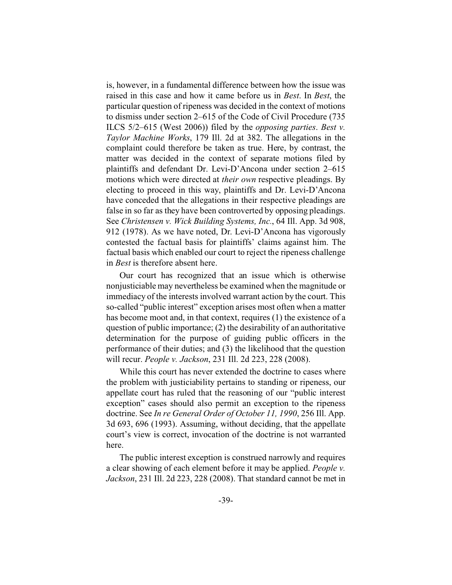is, however, in a fundamental difference between how the issue was raised in this case and how it came before us in *Best*. In *Best*, the particular question of ripeness was decided in the context of motions to dismiss under section 2–615 of the Code of Civil Procedure (735 ILCS 5/2–615 (West 2006)) filed by the *opposing parties*. *Best v. Taylor Machine Works*, 179 Ill. 2d at 382. The allegations in the complaint could therefore be taken as true. Here, by contrast, the matter was decided in the context of separate motions filed by plaintiffs and defendant Dr. Levi-D'Ancona under section 2–615 motions which were directed at *their own* respective pleadings. By electing to proceed in this way, plaintiffs and Dr. Levi-D'Ancona have conceded that the allegations in their respective pleadings are false in so far as they have been controverted by opposing pleadings. See *Christensen v. Wick Building Systems, Inc.*, 64 Ill. App. 3d 908, 912 (1978). As we have noted, Dr. Levi-D'Ancona has vigorously contested the factual basis for plaintiffs' claims against him. The factual basis which enabled our court to reject the ripeness challenge in *Best* is therefore absent here.

Our court has recognized that an issue which is otherwise nonjusticiable may nevertheless be examined when the magnitude or immediacy of the interests involved warrant action by the court. This so-called "public interest" exception arises most often when a matter has become moot and, in that context, requires (1) the existence of a question of public importance; (2) the desirability of an authoritative determination for the purpose of guiding public officers in the performance of their duties; and (3) the likelihood that the question will recur. *People v. Jackson*, 231 Ill. 2d 223, 228 (2008).

While this court has never extended the doctrine to cases where the problem with justiciability pertains to standing or ripeness, our appellate court has ruled that the reasoning of our "public interest exception" cases should also permit an exception to the ripeness doctrine. See *In re General Order of October 11, 1990*, 256 Ill. App. 3d 693, 696 (1993). Assuming, without deciding, that the appellate court's view is correct, invocation of the doctrine is not warranted here.

The public interest exception is construed narrowly and requires a clear showing of each element before it may be applied. *People v. Jackson*, 231 Ill. 2d 223, 228 (2008). That standard cannot be met in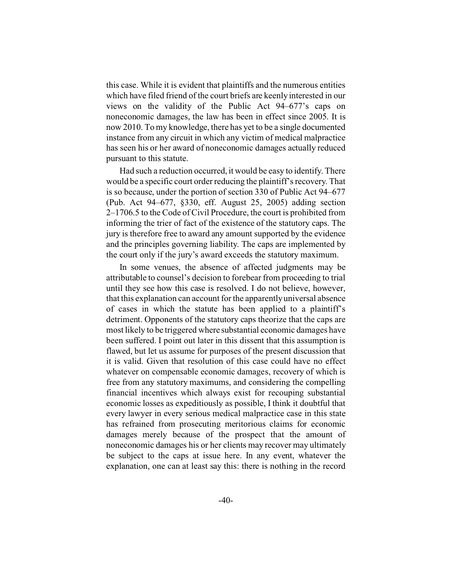this case. While it is evident that plaintiffs and the numerous entities which have filed friend of the court briefs are keenly interested in our views on the validity of the Public Act 94–677's caps on noneconomic damages, the law has been in effect since 2005. It is now 2010. To my knowledge, there has yet to be a single documented instance from any circuit in which any victim of medical malpractice has seen his or her award of noneconomic damages actually reduced pursuant to this statute.

Had such a reduction occurred, it would be easy to identify. There would be a specific court order reducing the plaintiff's recovery. That is so because, under the portion of section 330 of Public Act 94–677 (Pub. Act 94–677, §330, eff. August 25, 2005) adding section 2–1706.5 to the Code of Civil Procedure, the court is prohibited from informing the trier of fact of the existence of the statutory caps. The jury is therefore free to award any amount supported by the evidence and the principles governing liability. The caps are implemented by the court only if the jury's award exceeds the statutory maximum.

In some venues, the absence of affected judgments may be attributable to counsel's decision to forebear from proceeding to trial until they see how this case is resolved. I do not believe, however, that this explanation can account for the apparently universal absence of cases in which the statute has been applied to a plaintiff's detriment. Opponents of the statutory caps theorize that the caps are most likely to be triggered where substantial economic damages have been suffered. I point out later in this dissent that this assumption is flawed, but let us assume for purposes of the present discussion that it is valid. Given that resolution of this case could have no effect whatever on compensable economic damages, recovery of which is free from any statutory maximums, and considering the compelling financial incentives which always exist for recouping substantial economic losses as expeditiously as possible, I think it doubtful that every lawyer in every serious medical malpractice case in this state has refrained from prosecuting meritorious claims for economic damages merely because of the prospect that the amount of noneconomic damages his or her clients may recover may ultimately be subject to the caps at issue here. In any event, whatever the explanation, one can at least say this: there is nothing in the record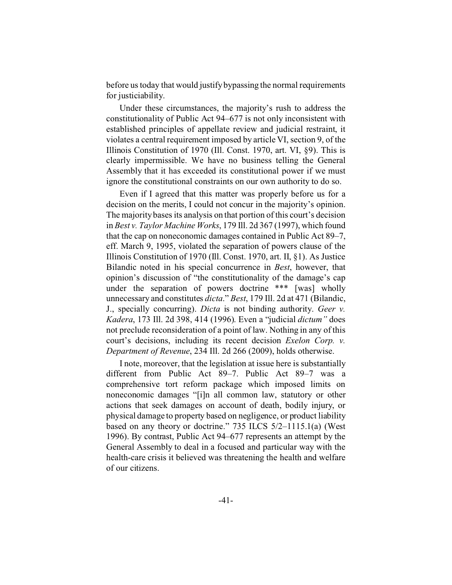before us today that would justify bypassing the normal requirements for justiciability.

Under these circumstances, the majority's rush to address the constitutionality of Public Act 94–677 is not only inconsistent with established principles of appellate review and judicial restraint, it violates a central requirement imposed by article VI, section 9, of the Illinois Constitution of 1970 (Ill. Const. 1970, art. VI, §9). This is clearly impermissible. We have no business telling the General Assembly that it has exceeded its constitutional power if we must ignore the constitutional constraints on our own authority to do so.

Even if I agreed that this matter was properly before us for a decision on the merits, I could not concur in the majority's opinion. The majority bases its analysis on that portion of this court's decision in *Best v. Taylor Machine Works*, 179 Ill. 2d 367 (1997), which found that the cap on noneconomic damages contained in Public Act 89–7, eff. March 9, 1995, violated the separation of powers clause of the Illinois Constitution of 1970 (Ill. Const. 1970, art. II, §1). As Justice Bilandic noted in his special concurrence in *Best*, however, that opinion's discussion of "the constitutionality of the damage's cap under the separation of powers doctrine \*\*\* [was] wholly unnecessary and constitutes *dicta*." *Best*, 179 Ill. 2d at 471 (Bilandic, J., specially concurring). *Dicta* is not binding authority. *Geer v. Kadera*, 173 Ill. 2d 398, 414 (1996). Even a "judicial *dictum"* does not preclude reconsideration of a point of law. Nothing in any of this court's decisions, including its recent decision *Exelon Corp. v. Department of Revenue*, 234 Ill. 2d 266 (2009), holds otherwise.

I note, moreover, that the legislation at issue here is substantially different from Public Act 89–7. Public Act 89–7 was a comprehensive tort reform package which imposed limits on noneconomic damages "[i]n all common law, statutory or other actions that seek damages on account of death, bodily injury, or physical damage to property based on negligence, or product liability based on any theory or doctrine." 735 ILCS 5/2–1115.1(a) (West 1996). By contrast, Public Act 94–677 represents an attempt by the General Assembly to deal in a focused and particular way with the health-care crisis it believed was threatening the health and welfare of our citizens.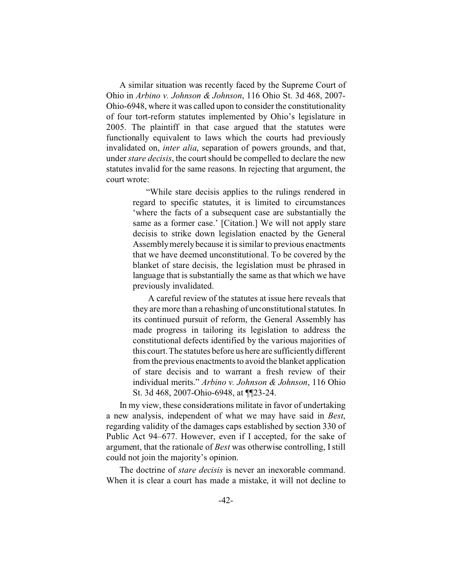A similar situation was recently faced by the Supreme Court of Ohio in *Arbino v. Johnson & Johnson*, 116 Ohio St. 3d 468, 2007- Ohio-6948, where it was called upon to consider the constitutionality of four tort-reform statutes implemented by Ohio's legislature in 2005. The plaintiff in that case argued that the statutes were functionally equivalent to laws which the courts had previously invalidated on, *inter alia*, separation of powers grounds, and that, under*stare decisis*, the court should be compelled to declare the new statutes invalid for the same reasons. In rejecting that argument, the court wrote:

> "While stare decisis applies to the rulings rendered in regard to specific statutes, it is limited to circumstances 'where the facts of a subsequent case are substantially the same as a former case.' [Citation.] We will not apply stare decisis to strike down legislation enacted by the General Assembly merely because it is similar to previous enactments that we have deemed unconstitutional. To be covered by the blanket of stare decisis, the legislation must be phrased in language that is substantially the same as that which we have previously invalidated.

> A careful review of the statutes at issue here reveals that they are more than a rehashing of unconstitutional statutes. In its continued pursuit of reform, the General Assembly has made progress in tailoring its legislation to address the constitutional defects identified by the various majorities of this court. The statutes before us here are sufficiently different from the previous enactments to avoid the blanket application of stare decisis and to warrant a fresh review of their individual merits." *Arbino v. Johnson & Johnson*, 116 Ohio St. 3d 468, 2007-Ohio-6948, at ¶¶23-24.

In my view, these considerations militate in favor of undertaking a new analysis, independent of what we may have said in *Best*, regarding validity of the damages caps established by section 330 of Public Act 94–677. However, even if I accepted, for the sake of argument, that the rationale of *Best* was otherwise controlling, I still could not join the majority's opinion.

The doctrine of *stare decisis* is never an inexorable command. When it is clear a court has made a mistake, it will not decline to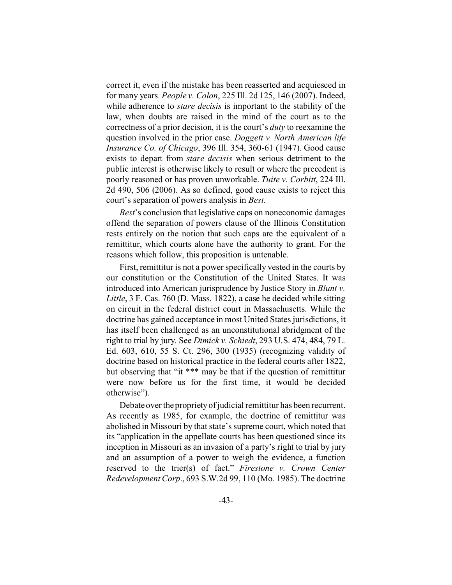correct it, even if the mistake has been reasserted and acquiesced in for many years. *People v. Colon*, 225 Ill. 2d 125, 146 (2007). Indeed, while adherence to *stare decisis* is important to the stability of the law, when doubts are raised in the mind of the court as to the correctness of a prior decision, it is the court's *duty* to reexamine the question involved in the prior case. *Doggett v. North American life Insurance Co. of Chicago*, 396 Ill. 354, 360-61 (1947). Good cause exists to depart from *stare decisis* when serious detriment to the public interest is otherwise likely to result or where the precedent is poorly reasoned or has proven unworkable. *Tuite v. Corbitt*, 224 Ill. 2d 490, 506 (2006). As so defined, good cause exists to reject this court's separation of powers analysis in *Best*.

*Best*'s conclusion that legislative caps on noneconomic damages offend the separation of powers clause of the Illinois Constitution rests entirely on the notion that such caps are the equivalent of a remittitur, which courts alone have the authority to grant. For the reasons which follow, this proposition is untenable.

First, remittitur is not a power specifically vested in the courts by our constitution or the Constitution of the United States. It was introduced into American jurisprudence by Justice Story in *Blunt v. Little*, 3 F. Cas. 760 (D. Mass. 1822), a case he decided while sitting on circuit in the federal district court in Massachusetts. While the doctrine has gained acceptance in most United States jurisdictions, it has itself been challenged as an unconstitutional abridgment of the right to trial by jury. See *Dimick v. Schiedt*, 293 U.S. 474, 484, 79 L. Ed. 603, 610, 55 S. Ct. 296, 300 (1935) (recognizing validity of doctrine based on historical practice in the federal courts after 1822, but observing that "it \*\*\* may be that if the question of remittitur were now before us for the first time, it would be decided otherwise").

Debate over the propriety of judicial remittitur has been recurrent. As recently as 1985, for example, the doctrine of remittitur was abolished in Missouri by that state's supreme court, which noted that its "application in the appellate courts has been questioned since its inception in Missouri as an invasion of a party's right to trial by jury and an assumption of a power to weigh the evidence, a function reserved to the trier(s) of fact." *Firestone v. Crown Center Redevelopment Corp*., 693 S.W.2d 99, 110 (Mo. 1985). The doctrine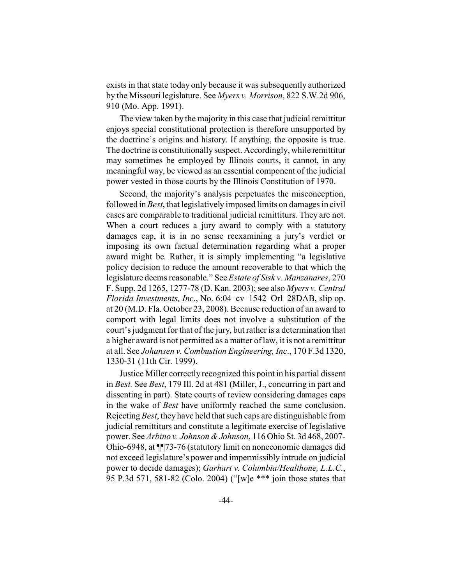exists in that state today only because it was subsequently authorized by the Missouri legislature. See *Myers v. Morrison*, 822 S.W.2d 906, 910 (Mo. App. 1991).

The view taken by the majority in this case that judicial remittitur enjoys special constitutional protection is therefore unsupported by the doctrine's origins and history. If anything, the opposite is true. The doctrine is constitutionally suspect. Accordingly, while remittitur may sometimes be employed by Illinois courts, it cannot, in any meaningful way, be viewed as an essential component of the judicial power vested in those courts by the Illinois Constitution of 1970.

Second, the majority's analysis perpetuates the misconception, followed in *Best*, that legislatively imposed limits on damages in civil cases are comparable to traditional judicial remittiturs. They are not. When a court reduces a jury award to comply with a statutory damages cap, it is in no sense reexamining a jury's verdict or imposing its own factual determination regarding what a proper award might be. Rather, it is simply implementing "a legislative policy decision to reduce the amount recoverable to that which the legislature deems reasonable." See *Estate of Sisk v. Manzanares*, 270 F. Supp. 2d 1265, 1277-78 (D. Kan. 2003); see also *Myers v. Central Florida Investments, Inc*., No. 6:04–cv–1542–Orl–28DAB, slip op. at 20 (M.D. Fla. October 23, 2008). Because reduction of an award to comport with legal limits does not involve a substitution of the court's judgment for that of the jury, but rather is a determination that a higher award is not permitted as a matter of law, it is not a remittitur at all. See *Johansen v. Combustion Engineering, Inc*., 170 F.3d 1320, 1330-31 (11th Cir. 1999).

Justice Miller correctly recognized this point in his partial dissent in *Best.* See *Best*, 179 Ill. 2d at 481 (Miller, J., concurring in part and dissenting in part). State courts of review considering damages caps in the wake of *Best* have uniformly reached the same conclusion. Rejecting *Best*, they have held that such caps are distinguishable from judicial remittiturs and constitute a legitimate exercise of legislative power. See *Arbino v. Johnson & Johnson*, 116 Ohio St. 3d 468, 2007- Ohio-6948, at ¶¶73-76 (statutory limit on noneconomic damages did not exceed legislature's power and impermissibly intrude on judicial power to decide damages); *Garhart v. Columbia/Healthone, L.L.C.*, 95 P.3d 571, 581-82 (Colo. 2004) ("[w]e \*\*\* join those states that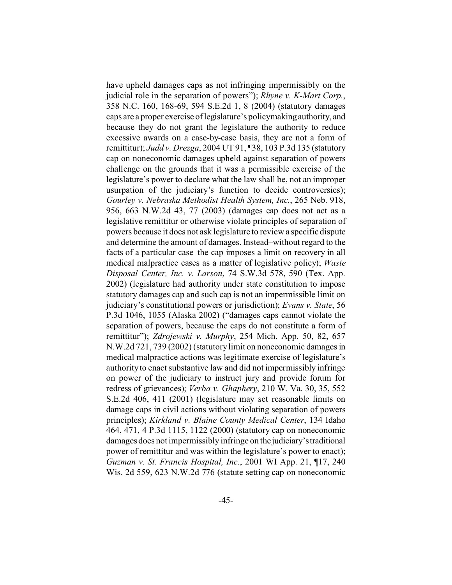have upheld damages caps as not infringing impermissibly on the judicial role in the separation of powers"); *Rhyne v. K-Mart Corp.*, 358 N.C. 160, 168-69, 594 S.E.2d 1, 8 (2004) (statutory damages caps are a proper exercise of legislature's policymaking authority, and because they do not grant the legislature the authority to reduce excessive awards on a case-by-case basis, they are not a form of remittitur); *Judd v. Drezga*, 2004 UT 91, ¶38, 103 P.3d 135 (statutory cap on noneconomic damages upheld against separation of powers challenge on the grounds that it was a permissible exercise of the legislature's power to declare what the law shall be, not an improper usurpation of the judiciary's function to decide controversies); *Gourley v. Nebraska Methodist Health System, Inc.*, 265 Neb. 918, 956, 663 N.W.2d 43, 77 (2003) (damages cap does not act as a legislative remittitur or otherwise violate principles of separation of powers because it does not ask legislature to review a specific dispute and determine the amount of damages. Instead–without regard to the facts of a particular case–the cap imposes a limit on recovery in all medical malpractice cases as a matter of legislative policy); *Waste Disposal Center, Inc. v. Larson*, 74 S.W.3d 578, 590 (Tex. App. 2002) (legislature had authority under state constitution to impose statutory damages cap and such cap is not an impermissible limit on judiciary's constitutional powers or jurisdiction); *Evans v. State*, 56 P.3d 1046, 1055 (Alaska 2002) ("damages caps cannot violate the separation of powers, because the caps do not constitute a form of remittitur"); *Zdrojewski v. Murphy*, 254 Mich. App. 50, 82, 657 N.W.2d 721, 739 (2002) (statutory limit on noneconomic damages in medical malpractice actions was legitimate exercise of legislature's authority to enact substantive law and did not impermissibly infringe on power of the judiciary to instruct jury and provide forum for redress of grievances); *Verba v. Ghaphery*, 210 W. Va. 30, 35, 552 S.E.2d 406, 411 (2001) (legislature may set reasonable limits on damage caps in civil actions without violating separation of powers principles); *Kirkland v. Blaine County Medical Center*, 134 Idaho 464, 471, 4 P.3d 1115, 1122 (2000) (statutory cap on noneconomic damages does not impermissibly infringe on the judiciary's traditional power of remittitur and was within the legislature's power to enact); *Guzman v. St. Francis Hospital, Inc.*, 2001 WI App. 21, ¶17, 240 Wis. 2d 559, 623 N.W.2d 776 (statute setting cap on noneconomic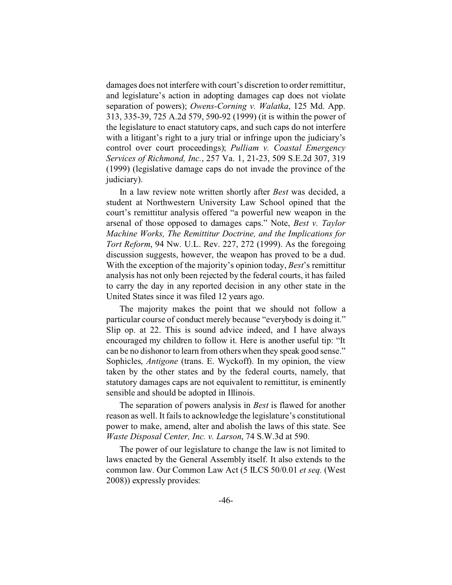damages does not interfere with court's discretion to order remittitur, and legislature's action in adopting damages cap does not violate separation of powers); *Owens-Corning v. Walatka*, 125 Md. App. 313, 335-39, 725 A.2d 579, 590-92 (1999) (it is within the power of the legislature to enact statutory caps, and such caps do not interfere with a litigant's right to a jury trial or infringe upon the judiciary's control over court proceedings); *Pulliam v. Coastal Emergency Services of Richmond, Inc.*, 257 Va. 1, 21-23, 509 S.E.2d 307, 319 (1999) (legislative damage caps do not invade the province of the judiciary).

In a law review note written shortly after *Best* was decided, a student at Northwestern University Law School opined that the court's remittitur analysis offered "a powerful new weapon in the arsenal of those opposed to damages caps." Note, *Best v. Taylor Machine Works, The Remittitur Doctrine, and the Implications for Tort Reform*, 94 Nw. U.L. Rev. 227, 272 (1999). As the foregoing discussion suggests, however, the weapon has proved to be a dud. With the exception of the majority's opinion today, *Best*'s remittitur analysis has not only been rejected by the federal courts, it has failed to carry the day in any reported decision in any other state in the United States since it was filed 12 years ago.

The majority makes the point that we should not follow a particular course of conduct merely because "everybody is doing it." Slip op. at 22. This is sound advice indeed, and I have always encouraged my children to follow it. Here is another useful tip: "It can be no dishonor to learn from others when they speak good sense." Sophicles, *Antigone* (trans. E. Wyckoff). In my opinion, the view taken by the other states and by the federal courts, namely, that statutory damages caps are not equivalent to remittitur, is eminently sensible and should be adopted in Illinois.

The separation of powers analysis in *Best* is flawed for another reason as well. It fails to acknowledge the legislature's constitutional power to make, amend, alter and abolish the laws of this state. See *Waste Disposal Center, Inc. v. Larson*, 74 S.W.3d at 590.

The power of our legislature to change the law is not limited to laws enacted by the General Assembly itself. It also extends to the common law. Our Common Law Act (5 ILCS 50/0.01 *et seq.* (West 2008)) expressly provides: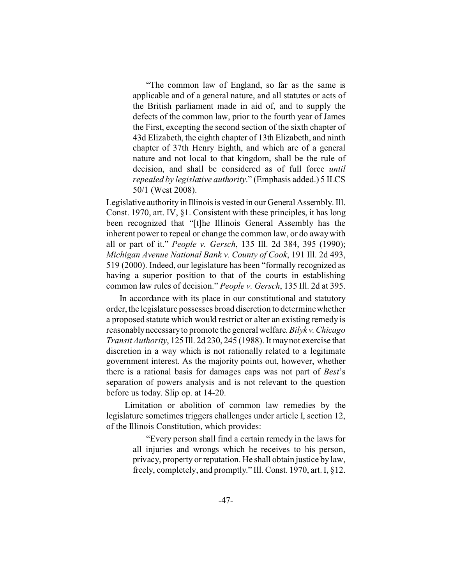"The common law of England, so far as the same is applicable and of a general nature, and all statutes or acts of the British parliament made in aid of, and to supply the defects of the common law, prior to the fourth year of James the First, excepting the second section of the sixth chapter of 43d Elizabeth, the eighth chapter of 13th Elizabeth, and ninth chapter of 37th Henry Eighth, and which are of a general nature and not local to that kingdom, shall be the rule of decision, and shall be considered as of full force *until repealed by legislative authority*." (Emphasis added.) 5 ILCS 50/1 (West 2008).

Legislative authority in Illinois is vested in our General Assembly. Ill. Const. 1970, art. IV, §1. Consistent with these principles, it has long been recognized that "[t]he Illinois General Assembly has the inherent power to repeal or change the common law, or do away with all or part of it." *People v. Gersch*, 135 Ill. 2d 384, 395 (1990); *Michigan Avenue National Bank v. County of Cook*, 191 Ill. 2d 493, 519 (2000). Indeed, our legislature has been "formally recognized as having a superior position to that of the courts in establishing common law rules of decision." *People v. Gersch*, 135 Ill. 2d at 395.

In accordance with its place in our constitutional and statutory order, the legislature possesses broad discretion to determine whether a proposed statute which would restrict or alter an existing remedy is reasonably necessary to promote the general welfare. *Bilyk v.Chicago Transit Authority*, 125 Ill. 2d 230, 245 (1988). It may not exercise that discretion in a way which is not rationally related to a legitimate government interest. As the majority points out, however, whether there is a rational basis for damages caps was not part of *Best*'s separation of powers analysis and is not relevant to the question before us today. Slip op. at 14-20.

 Limitation or abolition of common law remedies by the legislature sometimes triggers challenges under article I, section 12, of the Illinois Constitution, which provides:

> "Every person shall find a certain remedy in the laws for all injuries and wrongs which he receives to his person, privacy, property or reputation. He shall obtain justice by law, freely, completely, and promptly." Ill. Const. 1970, art. I, §12.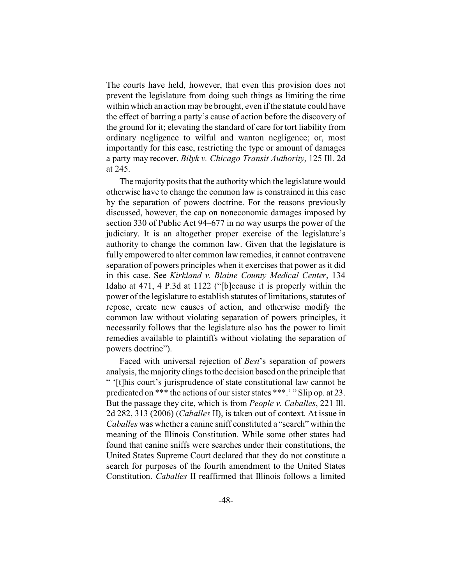The courts have held, however, that even this provision does not prevent the legislature from doing such things as limiting the time within which an action may be brought, even if the statute could have the effect of barring a party's cause of action before the discovery of the ground for it; elevating the standard of care for tort liability from ordinary negligence to wilful and wanton negligence; or, most importantly for this case, restricting the type or amount of damages a party may recover. *Bilyk v. Chicago Transit Authority*, 125 Ill. 2d at 245.

The majority posits that the authority which the legislature would otherwise have to change the common law is constrained in this case by the separation of powers doctrine. For the reasons previously discussed, however, the cap on noneconomic damages imposed by section 330 of Public Act 94–677 in no way usurps the power of the judiciary. It is an altogether proper exercise of the legislature's authority to change the common law. Given that the legislature is fully empowered to alter common law remedies, it cannot contravene separation of powers principles when it exercises that power as it did in this case. See *Kirkland v. Blaine County Medical Center*, 134 Idaho at 471, 4 P.3d at 1122 ("[b]ecause it is properly within the power of the legislature to establish statutes of limitations, statutes of repose, create new causes of action, and otherwise modify the common law without violating separation of powers principles, it necessarily follows that the legislature also has the power to limit remedies available to plaintiffs without violating the separation of powers doctrine").

Faced with universal rejection of *Best*'s separation of powers analysis, the majority clings to the decision based on the principle that " '[t]his court's jurisprudence of state constitutional law cannot be predicated on \*\*\* the actions of our sister states \*\*\*.' " Slip op. at 23. But the passage they cite, which is from *People v. Caballes*, 221 Ill. 2d 282, 313 (2006) (*Caballes* II), is taken out of context. At issue in *Caballes* was whether a canine sniff constituted a "search" within the meaning of the Illinois Constitution. While some other states had found that canine sniffs were searches under their constitutions, the United States Supreme Court declared that they do not constitute a search for purposes of the fourth amendment to the United States Constitution. *Caballes* II reaffirmed that Illinois follows a limited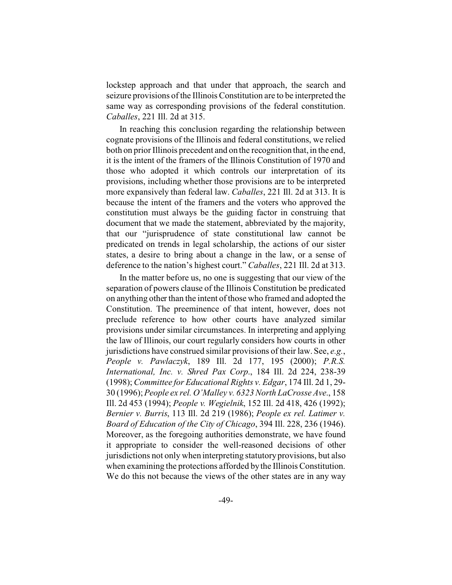lockstep approach and that under that approach, the search and seizure provisions of the Illinois Constitution are to be interpreted the same way as corresponding provisions of the federal constitution. *Caballes*, 221 Ill. 2d at 315.

In reaching this conclusion regarding the relationship between cognate provisions of the Illinois and federal constitutions, we relied both on prior Illinois precedent and on the recognition that, in the end, it is the intent of the framers of the Illinois Constitution of 1970 and those who adopted it which controls our interpretation of its provisions, including whether those provisions are to be interpreted more expansively than federal law. *Caballes*, 221 Ill. 2d at 313. It is because the intent of the framers and the voters who approved the constitution must always be the guiding factor in construing that document that we made the statement, abbreviated by the majority, that our "jurisprudence of state constitutional law cannot be predicated on trends in legal scholarship, the actions of our sister states, a desire to bring about a change in the law, or a sense of deference to the nation's highest court." *Caballes*, 221 Ill. 2d at 313.

In the matter before us, no one is suggesting that our view of the separation of powers clause of the Illinois Constitution be predicated on anything other than the intent of those who framed and adopted the Constitution. The preeminence of that intent, however, does not preclude reference to how other courts have analyzed similar provisions under similar circumstances. In interpreting and applying the law of Illinois, our court regularly considers how courts in other jurisdictions have construed similar provisions of their law. See, *e.g.*, *People v. Pawlaczyk*, 189 Ill. 2d 177, 195 (2000); *P.R.S. International, Inc. v. Shred Pax Corp*., 184 Ill. 2d 224, 238-39 (1998); *Committee for Educational Rights v. Edgar*, 174 Ill. 2d 1, 29- 30 (1996); *People ex rel. O'Malley v. 6323 North LaCrosse Ave*., 158 Ill. 2d 453 (1994); *People v. Wegielnik*, 152 Ill. 2d 418, 426 (1992); *Bernier v. Burris*, 113 Ill. 2d 219 (1986); *People ex rel. Latimer v. Board of Education of the City of Chicago*, 394 Ill. 228, 236 (1946). Moreover, as the foregoing authorities demonstrate, we have found it appropriate to consider the well-reasoned decisions of other jurisdictions not only when interpreting statutory provisions, but also when examining the protections afforded by the Illinois Constitution. We do this not because the views of the other states are in any way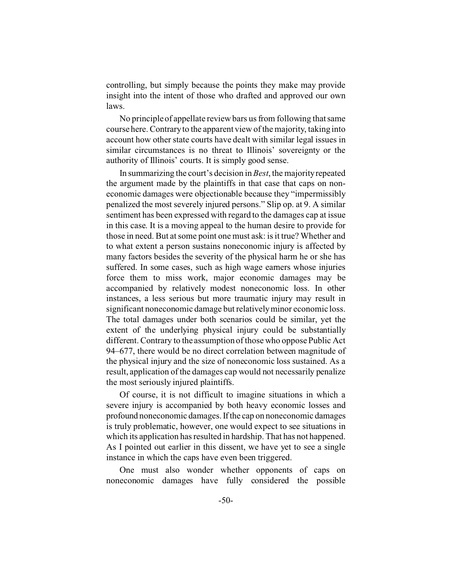controlling, but simply because the points they make may provide insight into the intent of those who drafted and approved our own laws.

No principle of appellate review bars us from following that same course here. Contrary to the apparent view of the majority, taking into account how other state courts have dealt with similar legal issues in similar circumstances is no threat to Illinois' sovereignty or the authority of Illinois' courts. It is simply good sense.

In summarizing the court's decision in *Best*, the majority repeated the argument made by the plaintiffs in that case that caps on noneconomic damages were objectionable because they "impermissibly penalized the most severely injured persons." Slip op. at 9. A similar sentiment has been expressed with regard to the damages cap at issue in this case. It is a moving appeal to the human desire to provide for those in need. But at some point one must ask: is it true? Whether and to what extent a person sustains noneconomic injury is affected by many factors besides the severity of the physical harm he or she has suffered. In some cases, such as high wage earners whose injuries force them to miss work, major economic damages may be accompanied by relatively modest noneconomic loss. In other instances, a less serious but more traumatic injury may result in significant noneconomic damage but relatively minor economic loss. The total damages under both scenarios could be similar, yet the extent of the underlying physical injury could be substantially different. Contrary to the assumption of those who oppose Public Act 94–677, there would be no direct correlation between magnitude of the physical injury and the size of noneconomic loss sustained. As a result, application of the damages cap would not necessarily penalize the most seriously injured plaintiffs.

Of course, it is not difficult to imagine situations in which a severe injury is accompanied by both heavy economic losses and profound noneconomic damages. If the cap on noneconomic damages is truly problematic, however, one would expect to see situations in which its application has resulted in hardship. That has not happened. As I pointed out earlier in this dissent, we have yet to see a single instance in which the caps have even been triggered.

One must also wonder whether opponents of caps on noneconomic damages have fully considered the possible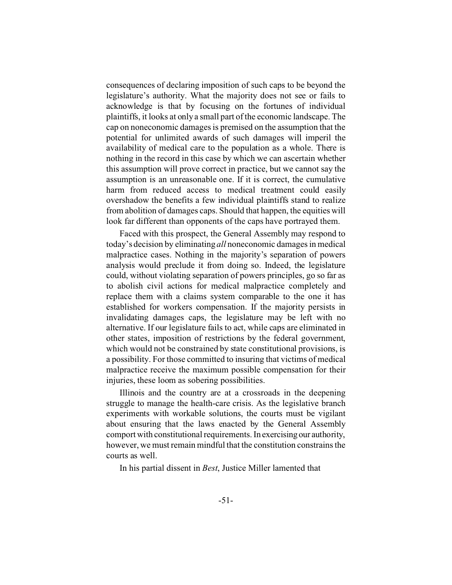consequences of declaring imposition of such caps to be beyond the legislature's authority. What the majority does not see or fails to acknowledge is that by focusing on the fortunes of individual plaintiffs, it looks at only a small part of the economic landscape. The cap on noneconomic damages is premised on the assumption that the potential for unlimited awards of such damages will imperil the availability of medical care to the population as a whole. There is nothing in the record in this case by which we can ascertain whether this assumption will prove correct in practice, but we cannot say the assumption is an unreasonable one. If it is correct, the cumulative harm from reduced access to medical treatment could easily overshadow the benefits a few individual plaintiffs stand to realize from abolition of damages caps. Should that happen, the equities will look far different than opponents of the caps have portrayed them.

Faced with this prospect, the General Assembly may respond to today's decision by eliminating *all* noneconomic damages in medical malpractice cases. Nothing in the majority's separation of powers analysis would preclude it from doing so. Indeed, the legislature could, without violating separation of powers principles, go so far as to abolish civil actions for medical malpractice completely and replace them with a claims system comparable to the one it has established for workers compensation. If the majority persists in invalidating damages caps, the legislature may be left with no alternative. If our legislature fails to act, while caps are eliminated in other states, imposition of restrictions by the federal government, which would not be constrained by state constitutional provisions, is a possibility. For those committed to insuring that victims of medical malpractice receive the maximum possible compensation for their injuries, these loom as sobering possibilities.

Illinois and the country are at a crossroads in the deepening struggle to manage the health-care crisis. As the legislative branch experiments with workable solutions, the courts must be vigilant about ensuring that the laws enacted by the General Assembly comport with constitutional requirements. In exercising our authority, however, we must remain mindful that the constitution constrains the courts as well.

In his partial dissent in *Best*, Justice Miller lamented that